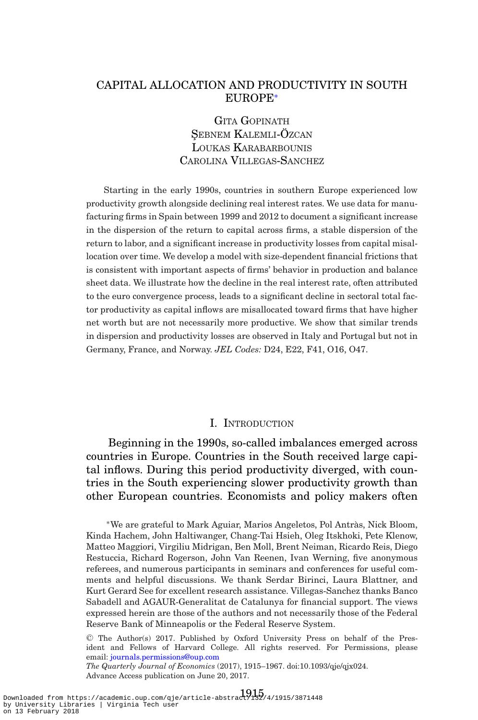# CAPITAL ALLOCATION AND PRODUCTIVITY IN SOUTH EUROPE[∗](#page-0-0)

GITA GOPINATH SEBNEM KALEMLI-ÖZCAN LOUKAS KARABARBOUNIS CAROLINA VILLEGAS-SANCHEZ

Starting in the early 1990s, countries in southern Europe experienced low productivity growth alongside declining real interest rates. We use data for manufacturing firms in Spain between 1999 and 2012 to document a significant increase in the dispersion of the return to capital across firms, a stable dispersion of the return to labor, and a significant increase in productivity losses from capital misallocation over time. We develop a model with size-dependent financial frictions that is consistent with important aspects of firms' behavior in production and balance sheet data. We illustrate how the decline in the real interest rate, often attributed to the euro convergence process, leads to a significant decline in sectoral total factor productivity as capital inflows are misallocated toward firms that have higher net worth but are not necessarily more productive. We show that similar trends in dispersion and productivity losses are observed in Italy and Portugal but not in Germany, France, and Norway. *JEL Codes:* D24, E22, F41, O16, O47.

### I. INTRODUCTION

Beginning in the 1990s, so-called imbalances emerged across countries in Europe. Countries in the South received large capital inflows. During this period productivity diverged, with countries in the South experiencing slower productivity growth than other European countries. Economists and policy makers often

<span id="page-0-0"></span><sup>∗</sup>We are grateful to Mark Aguiar, Marios Angeletos, Pol Antras, Nick Bloom, ` Kinda Hachem, John Haltiwanger, Chang-Tai Hsieh, Oleg Itskhoki, Pete Klenow, Matteo Maggiori, Virgiliu Midrigan, Ben Moll, Brent Neiman, Ricardo Reis, Diego Restuccia, Richard Rogerson, John Van Reenen, Ivan Werning, five anonymous referees, and numerous participants in seminars and conferences for useful comments and helpful discussions. We thank Serdar Birinci, Laura Blattner, and Kurt Gerard See for excellent research assistance. Villegas-Sanchez thanks Banco Sabadell and AGAUR-Generalitat de Catalunya for financial support. The views expressed herein are those of the authors and not necessarily those of the Federal Reserve Bank of Minneapolis or the Federal Reserve System.

<sup>C</sup> The Author(s) 2017. Published by Oxford University Press on behalf of the President and Fellows of Harvard College. All rights reserved. For Permissions, please email: [journals.permissions@oup.com](mailto:journals.permissions@oup.com)

*The Quarterly Journal of Economics* (2017), 1915–1967. doi:10.1093/qje/qjx024. Advance Access publication on June 20, 2017.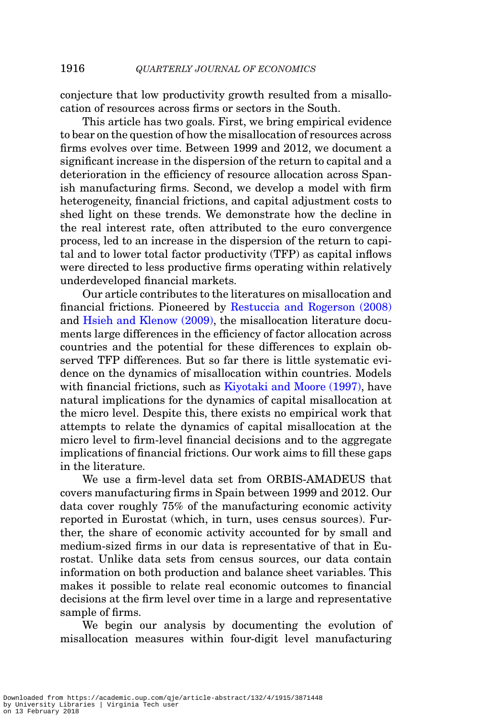conjecture that low productivity growth resulted from a misallocation of resources across firms or sectors in the South.

This article has two goals. First, we bring empirical evidence to bear on the question of how the misallocation of resources across firms evolves over time. Between 1999 and 2012, we document a significant increase in the dispersion of the return to capital and a deterioration in the efficiency of resource allocation across Spanish manufacturing firms. Second, we develop a model with firm heterogeneity, financial frictions, and capital adjustment costs to shed light on these trends. We demonstrate how the decline in the real interest rate, often attributed to the euro convergence process, led to an increase in the dispersion of the return to capital and to lower total factor productivity (TFP) as capital inflows were directed to less productive firms operating within relatively underdeveloped financial markets.

Our article contributes to the literatures on misallocation and financial frictions. Pioneered by [Restuccia and Rogerson \(2008\)](#page-52-0) and [Hsieh and Klenow \(2009\),](#page-51-0) the misallocation literature documents large differences in the efficiency of factor allocation across countries and the potential for these differences to explain observed TFP differences. But so far there is little systematic evidence on the dynamics of misallocation within countries. Models with financial frictions, such as [Kiyotaki and Moore \(1997\),](#page-51-1) have natural implications for the dynamics of capital misallocation at the micro level. Despite this, there exists no empirical work that attempts to relate the dynamics of capital misallocation at the micro level to firm-level financial decisions and to the aggregate implications of financial frictions. Our work aims to fill these gaps in the literature.

We use a firm-level data set from ORBIS-AMADEUS that covers manufacturing firms in Spain between 1999 and 2012. Our data cover roughly 75% of the manufacturing economic activity reported in Eurostat (which, in turn, uses census sources). Further, the share of economic activity accounted for by small and medium-sized firms in our data is representative of that in Eurostat. Unlike data sets from census sources, our data contain information on both production and balance sheet variables. This makes it possible to relate real economic outcomes to financial decisions at the firm level over time in a large and representative sample of firms.

We begin our analysis by documenting the evolution of misallocation measures within four-digit level manufacturing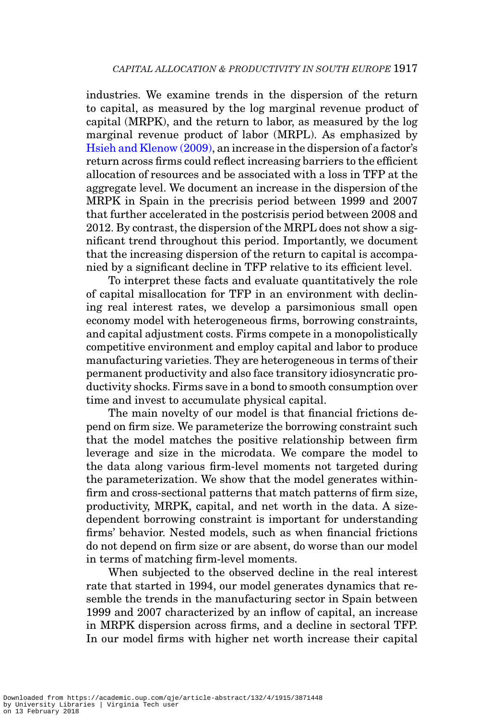industries. We examine trends in the dispersion of the return to capital, as measured by the log marginal revenue product of capital (MRPK), and the return to labor, as measured by the log marginal revenue product of labor (MRPL). As emphasized by [Hsieh and Klenow \(2009\),](#page-51-0) an increase in the dispersion of a factor's return across firms could reflect increasing barriers to the efficient allocation of resources and be associated with a loss in TFP at the aggregate level. We document an increase in the dispersion of the MRPK in Spain in the precrisis period between 1999 and 2007 that further accelerated in the postcrisis period between 2008 and 2012. By contrast, the dispersion of the MRPL does not show a significant trend throughout this period. Importantly, we document that the increasing dispersion of the return to capital is accompanied by a significant decline in TFP relative to its efficient level.

To interpret these facts and evaluate quantitatively the role of capital misallocation for TFP in an environment with declining real interest rates, we develop a parsimonious small open economy model with heterogeneous firms, borrowing constraints, and capital adjustment costs. Firms compete in a monopolistically competitive environment and employ capital and labor to produce manufacturing varieties. They are heterogeneous in terms of their permanent productivity and also face transitory idiosyncratic productivity shocks. Firms save in a bond to smooth consumption over time and invest to accumulate physical capital.

The main novelty of our model is that financial frictions depend on firm size. We parameterize the borrowing constraint such that the model matches the positive relationship between firm leverage and size in the microdata. We compare the model to the data along various firm-level moments not targeted during the parameterization. We show that the model generates withinfirm and cross-sectional patterns that match patterns of firm size, productivity, MRPK, capital, and net worth in the data. A sizedependent borrowing constraint is important for understanding firms' behavior. Nested models, such as when financial frictions do not depend on firm size or are absent, do worse than our model in terms of matching firm-level moments.

When subjected to the observed decline in the real interest rate that started in 1994, our model generates dynamics that resemble the trends in the manufacturing sector in Spain between 1999 and 2007 characterized by an inflow of capital, an increase in MRPK dispersion across firms, and a decline in sectoral TFP. In our model firms with higher net worth increase their capital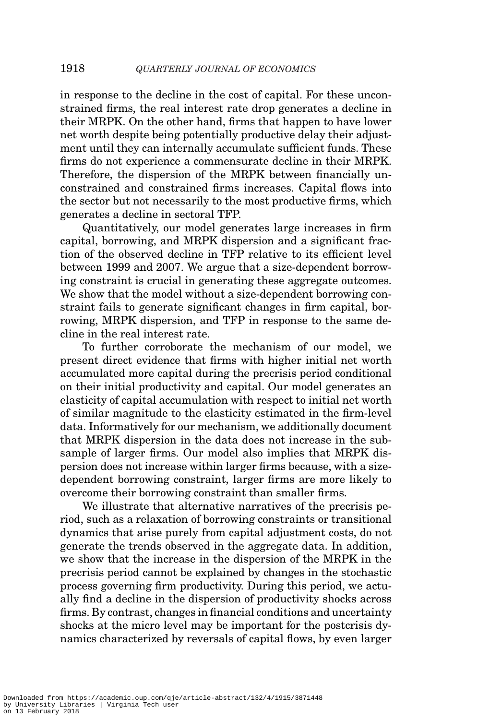in response to the decline in the cost of capital. For these unconstrained firms, the real interest rate drop generates a decline in their MRPK. On the other hand, firms that happen to have lower net worth despite being potentially productive delay their adjustment until they can internally accumulate sufficient funds. These firms do not experience a commensurate decline in their MRPK. Therefore, the dispersion of the MRPK between financially unconstrained and constrained firms increases. Capital flows into the sector but not necessarily to the most productive firms, which generates a decline in sectoral TFP.

Quantitatively, our model generates large increases in firm capital, borrowing, and MRPK dispersion and a significant fraction of the observed decline in TFP relative to its efficient level between 1999 and 2007. We argue that a size-dependent borrowing constraint is crucial in generating these aggregate outcomes. We show that the model without a size-dependent borrowing constraint fails to generate significant changes in firm capital, borrowing, MRPK dispersion, and TFP in response to the same decline in the real interest rate.

To further corroborate the mechanism of our model, we present direct evidence that firms with higher initial net worth accumulated more capital during the precrisis period conditional on their initial productivity and capital. Our model generates an elasticity of capital accumulation with respect to initial net worth of similar magnitude to the elasticity estimated in the firm-level data. Informatively for our mechanism, we additionally document that MRPK dispersion in the data does not increase in the subsample of larger firms. Our model also implies that MRPK dispersion does not increase within larger firms because, with a sizedependent borrowing constraint, larger firms are more likely to overcome their borrowing constraint than smaller firms.

We illustrate that alternative narratives of the precrisis period, such as a relaxation of borrowing constraints or transitional dynamics that arise purely from capital adjustment costs, do not generate the trends observed in the aggregate data. In addition, we show that the increase in the dispersion of the MRPK in the precrisis period cannot be explained by changes in the stochastic process governing firm productivity. During this period, we actually find a decline in the dispersion of productivity shocks across firms. By contrast, changes in financial conditions and uncertainty shocks at the micro level may be important for the postcrisis dynamics characterized by reversals of capital flows, by even larger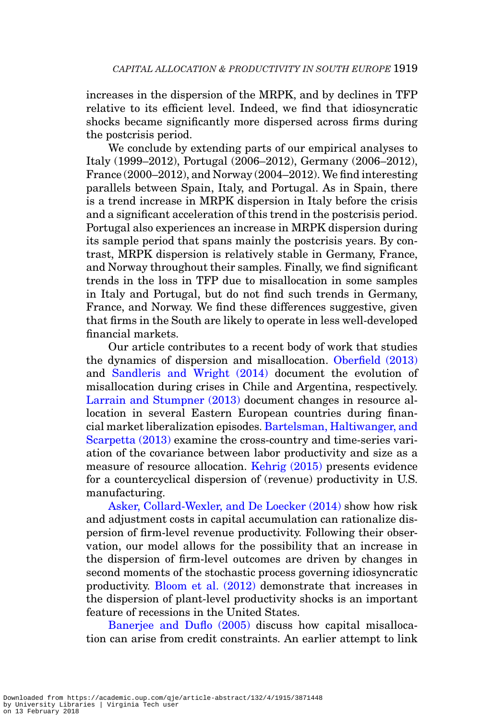increases in the dispersion of the MRPK, and by declines in TFP relative to its efficient level. Indeed, we find that idiosyncratic shocks became significantly more dispersed across firms during the postcrisis period.

We conclude by extending parts of our empirical analyses to Italy (1999–2012), Portugal (2006–2012), Germany (2006–2012), France (2000–2012), and Norway (2004–2012). We find interesting parallels between Spain, Italy, and Portugal. As in Spain, there is a trend increase in MRPK dispersion in Italy before the crisis and a significant acceleration of this trend in the postcrisis period. Portugal also experiences an increase in MRPK dispersion during its sample period that spans mainly the postcrisis years. By contrast, MRPK dispersion is relatively stable in Germany, France, and Norway throughout their samples. Finally, we find significant trends in the loss in TFP due to misallocation in some samples in Italy and Portugal, but do not find such trends in Germany, France, and Norway. We find these differences suggestive, given that firms in the South are likely to operate in less well-developed financial markets.

Our article contributes to a recent body of work that studies the dynamics of dispersion and misallocation. [Oberfield \(2013\)](#page-51-2) and [Sandleris and Wright \(2014\)](#page-52-1) document the evolution of misallocation during crises in Chile and Argentina, respectively. [Larrain and Stumpner \(2013\)](#page-51-3) document changes in resource allocation in several Eastern European countries during financial market liberalization episodes. [Bartelsman, Haltiwanger, and](#page-50-0) [Scarpetta \(2013\)](#page-50-0) examine the cross-country and time-series variation of the covariance between labor productivity and size as a measure of resource allocation. [Kehrig \(2015\)](#page-51-4) presents evidence for a countercyclical dispersion of (revenue) productivity in U.S. manufacturing.

[Asker, Collard-Wexler, and De Loecker \(2014\)](#page-50-1) show how risk and adjustment costs in capital accumulation can rationalize dispersion of firm-level revenue productivity. Following their observation, our model allows for the possibility that an increase in the dispersion of firm-level outcomes are driven by changes in second moments of the stochastic process governing idiosyncratic productivity. [Bloom et al. \(2012\)](#page-50-2) demonstrate that increases in the dispersion of plant-level productivity shocks is an important feature of recessions in the United States.

[Banerjee and Duflo \(2005\)](#page-50-3) discuss how capital misallocation can arise from credit constraints. An earlier attempt to link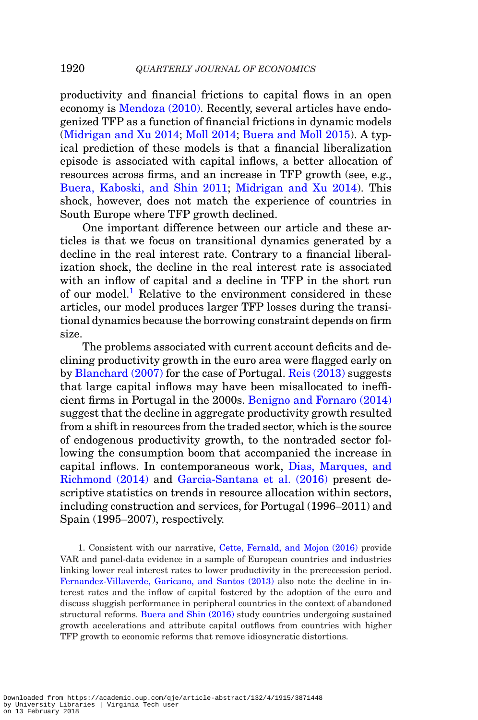productivity and financial frictions to capital flows in an open economy is [Mendoza \(2010\).](#page-51-5) Recently, several articles have endogenized TFP as a function of financial frictions in dynamic models [\(Midrigan and Xu 2014;](#page-51-6) [Moll 2014;](#page-51-7) [Buera and Moll 2015\)](#page-50-4). A typical prediction of these models is that a financial liberalization episode is associated with capital inflows, a better allocation of resources across firms, and an increase in TFP growth (see, e.g., [Buera, Kaboski, and Shin 2011;](#page-50-5) [Midrigan and Xu 2014\)](#page-51-6). This shock, however, does not match the experience of countries in South Europe where TFP growth declined.

One important difference between our article and these articles is that we focus on transitional dynamics generated by a decline in the real interest rate. Contrary to a financial liberalization shock, the decline in the real interest rate is associated with an inflow of capital and a decline in TFP in the short run of our model.<sup>[1](#page-5-0)</sup> Relative to the environment considered in these articles, our model produces larger TFP losses during the transitional dynamics because the borrowing constraint depends on firm size.

The problems associated with current account deficits and declining productivity growth in the euro area were flagged early on by [Blanchard \(2007\)](#page-50-6) for the case of Portugal. [Reis \(2013\)](#page-52-2) suggests that large capital inflows may have been misallocated to inefficient firms in Portugal in the 2000s. [Benigno and Fornaro \(2014\)](#page-50-7) suggest that the decline in aggregate productivity growth resulted from a shift in resources from the traded sector, which is the source of endogenous productivity growth, to the nontraded sector following the consumption boom that accompanied the increase in capital inflows. In contemporaneous work, [Dias, Marques, and](#page-51-8) [Richmond \(2014\)](#page-51-8) and [Garcia-Santana et al. \(2016\)](#page-51-9) present descriptive statistics on trends in resource allocation within sectors, including construction and services, for Portugal (1996–2011) and Spain (1995–2007), respectively.

<span id="page-5-0"></span>1. Consistent with our narrative, [Cette, Fernald, and Mojon \(2016\)](#page-50-8) provide VAR and panel-data evidence in a sample of European countries and industries linking lower real interest rates to lower productivity in the prerecession period. [Fernandez-Villaverde, Garicano, and Santos \(2013\)](#page-51-10) also note the decline in interest rates and the inflow of capital fostered by the adoption of the euro and discuss sluggish performance in peripheral countries in the context of abandoned structural reforms. [Buera and Shin \(2016\)](#page-50-9) study countries undergoing sustained growth accelerations and attribute capital outflows from countries with higher TFP growth to economic reforms that remove idiosyncratic distortions.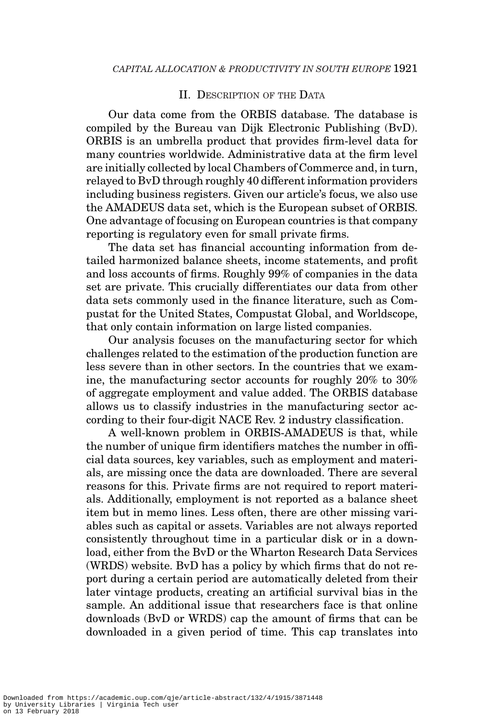## II. DESCRIPTION OF THE DATA

Our data come from the ORBIS database. The database is compiled by the Bureau van Dijk Electronic Publishing (BvD). ORBIS is an umbrella product that provides firm-level data for many countries worldwide. Administrative data at the firm level are initially collected by local Chambers of Commerce and, in turn, relayed to BvD through roughly 40 different information providers including business registers. Given our article's focus, we also use the AMADEUS data set, which is the European subset of ORBIS. One advantage of focusing on European countries is that company reporting is regulatory even for small private firms.

The data set has financial accounting information from detailed harmonized balance sheets, income statements, and profit and loss accounts of firms. Roughly 99% of companies in the data set are private. This crucially differentiates our data from other data sets commonly used in the finance literature, such as Compustat for the United States, Compustat Global, and Worldscope, that only contain information on large listed companies.

Our analysis focuses on the manufacturing sector for which challenges related to the estimation of the production function are less severe than in other sectors. In the countries that we examine, the manufacturing sector accounts for roughly 20% to 30% of aggregate employment and value added. The ORBIS database allows us to classify industries in the manufacturing sector according to their four-digit NACE Rev. 2 industry classification.

A well-known problem in ORBIS-AMADEUS is that, while the number of unique firm identifiers matches the number in official data sources, key variables, such as employment and materials, are missing once the data are downloaded. There are several reasons for this. Private firms are not required to report materials. Additionally, employment is not reported as a balance sheet item but in memo lines. Less often, there are other missing variables such as capital or assets. Variables are not always reported consistently throughout time in a particular disk or in a download, either from the BvD or the Wharton Research Data Services (WRDS) website. BvD has a policy by which firms that do not report during a certain period are automatically deleted from their later vintage products, creating an artificial survival bias in the sample. An additional issue that researchers face is that online downloads (BvD or WRDS) cap the amount of firms that can be downloaded in a given period of time. This cap translates into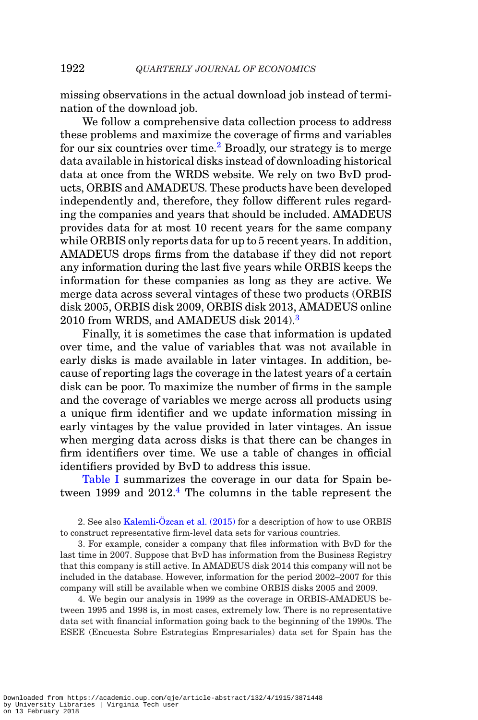missing observations in the actual download job instead of termination of the download job.

We follow a comprehensive data collection process to address these problems and maximize the coverage of firms and variables for our six countries over time.<sup>2</sup> Broadly, our strategy is to merge data available in historical disks instead of downloading historical data at once from the WRDS website. We rely on two BvD products, ORBIS and AMADEUS. These products have been developed independently and, therefore, they follow different rules regarding the companies and years that should be included. AMADEUS provides data for at most 10 recent years for the same company while ORBIS only reports data for up to 5 recent years. In addition, AMADEUS drops firms from the database if they did not report any information during the last five years while ORBIS keeps the information for these companies as long as they are active. We merge data across several vintages of these two products (ORBIS disk 2005, ORBIS disk 2009, ORBIS disk 2013, AMADEUS online 2010 from WRDS, and AMADEUS disk 2014).[3](#page-7-1)

Finally, it is sometimes the case that information is updated over time, and the value of variables that was not available in early disks is made available in later vintages. In addition, because of reporting lags the coverage in the latest years of a certain disk can be poor. To maximize the number of firms in the sample and the coverage of variables we merge across all products using a unique firm identifier and we update information missing in early vintages by the value provided in later vintages. An issue when merging data across disks is that there can be changes in firm identifiers over time. We use a table of changes in official identifiers provided by BvD to address this issue.

[Table I](#page-8-0) summarizes the coverage in our data for Spain between 1999 and 2012.<sup>4</sup> The columns in the table represent the

<span id="page-7-0"></span>2. See also Kalemli-Özcan et al.  $(2015)$  for a description of how to use ORBIS to construct representative firm-level data sets for various countries.

<span id="page-7-1"></span>3. For example, consider a company that files information with BvD for the last time in 2007. Suppose that BvD has information from the Business Registry that this company is still active. In AMADEUS disk 2014 this company will not be included in the database. However, information for the period 2002–2007 for this company will still be available when we combine ORBIS disks 2005 and 2009.

<span id="page-7-2"></span>4. We begin our analysis in 1999 as the coverage in ORBIS-AMADEUS between 1995 and 1998 is, in most cases, extremely low. There is no representative data set with financial information going back to the beginning of the 1990s. The ESEE (Encuesta Sobre Estrategias Empresariales) data set for Spain has the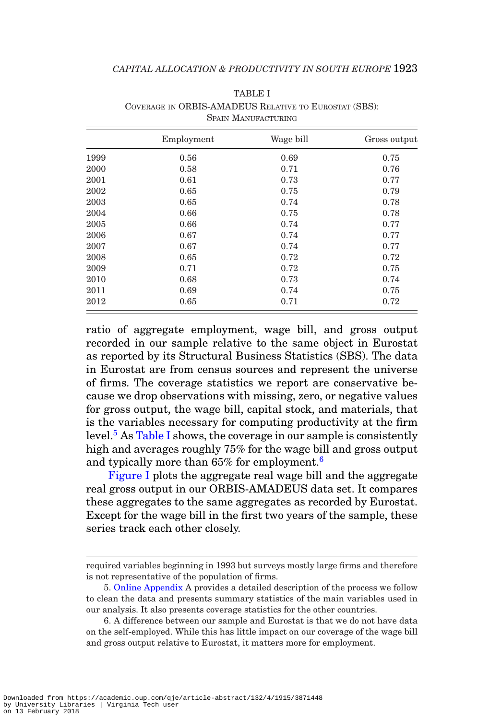<span id="page-8-0"></span>

|      | Employment | Wage bill | Gross output |
|------|------------|-----------|--------------|
| 1999 | 0.56       | 0.69      | 0.75         |
| 2000 | 0.58       | 0.71      | 0.76         |
| 2001 | 0.61       | 0.73      | 0.77         |
| 2002 | 0.65       | 0.75      | 0.79         |
| 2003 | 0.65       | 0.74      | 0.78         |
| 2004 | 0.66       | 0.75      | 0.78         |
| 2005 | 0.66       | 0.74      | 0.77         |
| 2006 | 0.67       | 0.74      | 0.77         |
| 2007 | 0.67       | 0.74      | 0.77         |
| 2008 | 0.65       | 0.72      | 0.72         |
| 2009 | 0.71       | 0.72      | 0.75         |
| 2010 | 0.68       | 0.73      | 0.74         |
| 2011 | 0.69       | 0.74      | 0.75         |
| 2012 | 0.65       | 0.71      | 0.72         |

TABLE I COVERAGE IN ORBIS-AMADEUS RELATIVE TO EUROSTAT (SBS): SPAIN MANUFACTURING

ratio of aggregate employment, wage bill, and gross output recorded in our sample relative to the same object in Eurostat as reported by its Structural Business Statistics (SBS). The data in Eurostat are from census sources and represent the universe of firms. The coverage statistics we report are conservative because we drop observations with missing, zero, or negative values for gross output, the wage bill, capital stock, and materials, that is the variables necessary for computing productivity at the firm level.<sup>[5](#page-8-1)</sup> As [Table I](#page-8-0) shows, the coverage in our sample is consistently high and averages roughly 75% for the wage bill and gross output and typically more than 65% for employment.[6](#page-8-2)

[Figure I](#page-9-0) plots the aggregate real wage bill and the aggregate real gross output in our ORBIS-AMADEUS data set. It compares these aggregates to the same aggregates as recorded by Eurostat. Except for the wage bill in the first two years of the sample, these series track each other closely.

required variables beginning in 1993 but surveys mostly large firms and therefore is not representative of the population of firms.

<span id="page-8-1"></span><sup>5.</sup> [Online Appendix](file:qje.oxfordjournals.org) A provides a detailed description of the process we follow to clean the data and presents summary statistics of the main variables used in our analysis. It also presents coverage statistics for the other countries.

<span id="page-8-2"></span><sup>6.</sup> A difference between our sample and Eurostat is that we do not have data on the self-employed. While this has little impact on our coverage of the wage bill and gross output relative to Eurostat, it matters more for employment.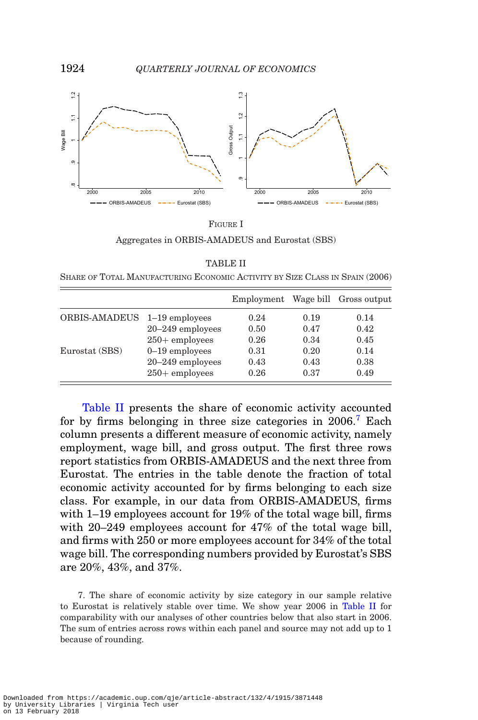<span id="page-9-0"></span>

FIGURE I Aggregates in ORBIS-AMADEUS and Eurostat (SBS)

| <b>TABLE II</b> |  |
|-----------------|--|
|-----------------|--|

<span id="page-9-1"></span>SHARE OF TOTAL MANUFACTURING ECONOMIC ACTIVITY BY SIZE CLASS IN SPAIN (2006)

|                              |                      | Employment |      | Wage bill Gross output |
|------------------------------|----------------------|------------|------|------------------------|
| ORBIS-AMADEUS 1-19 employees |                      | 0.24       | 0.19 | 0.14                   |
|                              | $20 - 249$ employees | 0.50       | 0.47 | 0.42                   |
|                              | $250+$ employees     | 0.26       | 0.34 | 0.45                   |
| Eurostat (SBS)               | $0-19$ employees     | 0.31       | 0.20 | 0.14                   |
|                              | $20 - 249$ employees | 0.43       | 0.43 | 0.38                   |
|                              | $250+$ employees     | 0.26       | 0.37 | 0.49                   |

[Table II](#page-9-1) presents the share of economic activity accounted for by firms belonging in three size categories in  $2006$ .<sup>[7](#page-9-2)</sup> Each column presents a different measure of economic activity, namely employment, wage bill, and gross output. The first three rows report statistics from ORBIS-AMADEUS and the next three from Eurostat. The entries in the table denote the fraction of total economic activity accounted for by firms belonging to each size class. For example, in our data from ORBIS-AMADEUS, firms with 1–19 employees account for 19% of the total wage bill, firms with 20–249 employees account for 47% of the total wage bill, and firms with 250 or more employees account for 34% of the total wage bill. The corresponding numbers provided by Eurostat's SBS are 20%, 43%, and 37%.

<span id="page-9-2"></span>7. The share of economic activity by size category in our sample relative to Eurostat is relatively stable over time. We show year 2006 in [Table II](#page-9-1) for comparability with our analyses of other countries below that also start in 2006. The sum of entries across rows within each panel and source may not add up to 1 because of rounding.

Downloaded from https://academic.oup.com/qje/article-abstract/132/4/1915/3871448 by University Libraries | Virginia Tech user on 13 February 2018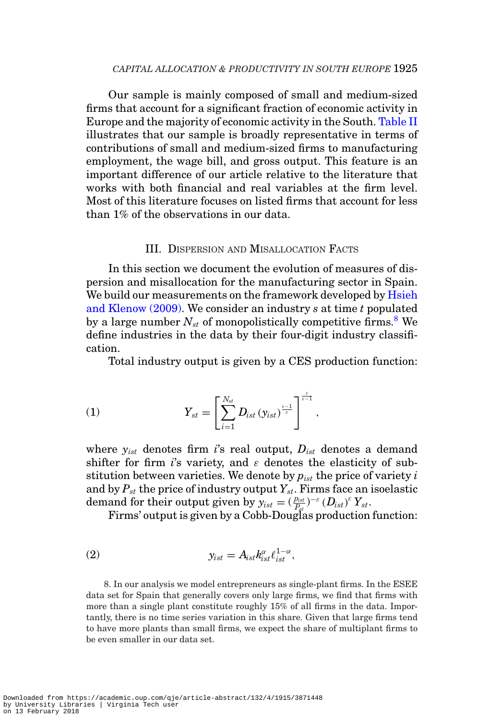Our sample is mainly composed of small and medium-sized firms that account for a significant fraction of economic activity in Europe and the majority of economic activity in the South. [Table II](#page-9-1) illustrates that our sample is broadly representative in terms of contributions of small and medium-sized firms to manufacturing employment, the wage bill, and gross output. This feature is an important difference of our article relative to the literature that works with both financial and real variables at the firm level. Most of this literature focuses on listed firms that account for less than 1% of the observations in our data.

#### <span id="page-10-1"></span>III. DISPERSION AND MISALLOCATION FACTS

In this section we document the evolution of measures of dispersion and misallocation for the manufacturing sector in Spain. We build our measurements on the framework developed by [Hsieh](#page-51-0) [and Klenow \(2009\).](#page-51-0) We consider an industry *s* at time *t* populated by a large number  $N_{st}$  of monopolistically competitive firms.<sup>[8](#page-10-0)</sup> We define industries in the data by their four-digit industry classification.

Total industry output is given by a CES production function:

(1) 
$$
Y_{st} = \left[\sum_{i=1}^{N_{st}} D_{ist} (y_{ist})^{\frac{s-1}{s}}\right]^{\frac{s}{s-1}},
$$

where *yist* denotes firm *i*'s real output, *Dist* denotes a demand shifter for firm *i*'s variety, and  $\varepsilon$  denotes the elasticity of substitution between varieties. We denote by *pist* the price of variety *i* and by  $P_{st}$  the price of industry output  $Y_{st}$ . Firms face an isoelastic demand for their output given by  $y_{ist} = (\frac{p_{ist}}{P_{st}})^{-\varepsilon} (D_{ist})^{\varepsilon} Y_{st}$ .

Firms' output is given by a Cobb-Douglas production function:

$$
(2) \t\t y_{ist} = A_{ist} k_{ist}^{\alpha} \ell_{ist}^{1-\alpha},
$$

<span id="page-10-0"></span>8. In our analysis we model entrepreneurs as single-plant firms. In the ESEE data set for Spain that generally covers only large firms, we find that firms with more than a single plant constitute roughly 15% of all firms in the data. Importantly, there is no time series variation in this share. Given that large firms tend to have more plants than small firms, we expect the share of multiplant firms to be even smaller in our data set.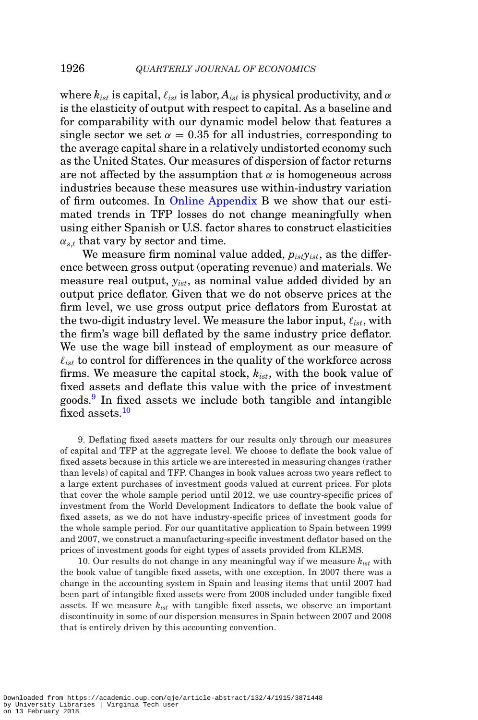where  $k_{ist}$  is capital,  $\ell_{ist}$  is labor,  $A_{ist}$  is physical productivity, and  $\alpha$ is the elasticity of output with respect to capital. As a baseline and for comparability with our dynamic model below that features a single sector we set  $\alpha = 0.35$  for all industries, corresponding to the average capital share in a relatively undistorted economy such as the United States. Our measures of dispersion of factor returns are not affected by the assumption that  $\alpha$  is homogeneous across industries because these measures use within-industry variation of firm outcomes. In [Online Appendix](file:qje.oxfordjournals.org) B we show that our estimated trends in TFP losses do not change meaningfully when using either Spanish or U.S. factor shares to construct elasticities  $\alpha_{s,t}$  that vary by sector and time.

We measure firm nominal value added, *pistyist*, as the difference between gross output (operating revenue) and materials. We measure real output, *yist*, as nominal value added divided by an output price deflator. Given that we do not observe prices at the firm level, we use gross output price deflators from Eurostat at the two-digit industry level. We measure the labor input,  $\ell_{i, st}$ , with the firm's wage bill deflated by the same industry price deflator. We use the wage bill instead of employment as our measure of  $\ell_{\text{ist}}$  to control for differences in the quality of the workforce across firms. We measure the capital stock, *kist*, with the book value of fixed assets and deflate this value with the price of investment goods.<sup>[9](#page-11-0)</sup> In fixed assets we include both tangible and intangible fixed assets.<sup>[10](#page-11-1)</sup>

<span id="page-11-0"></span>9. Deflating fixed assets matters for our results only through our measures of capital and TFP at the aggregate level. We choose to deflate the book value of fixed assets because in this article we are interested in measuring changes (rather than levels) of capital and TFP. Changes in book values across two years reflect to a large extent purchases of investment goods valued at current prices. For plots that cover the whole sample period until 2012, we use country-specific prices of investment from the World Development Indicators to deflate the book value of fixed assets, as we do not have industry-specific prices of investment goods for the whole sample period. For our quantitative application to Spain between 1999 and 2007, we construct a manufacturing-specific investment deflator based on the prices of investment goods for eight types of assets provided from KLEMS.

<span id="page-11-1"></span>10. Our results do not change in any meaningful way if we measure *kist* with the book value of tangible fixed assets, with one exception. In 2007 there was a change in the accounting system in Spain and leasing items that until 2007 had been part of intangible fixed assets were from 2008 included under tangible fixed assets. If we measure *kist* with tangible fixed assets, we observe an important discontinuity in some of our dispersion measures in Spain between 2007 and 2008 that is entirely driven by this accounting convention.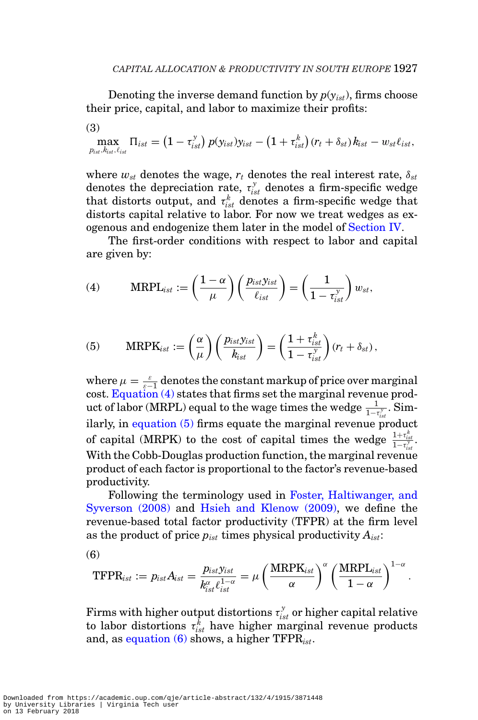Denoting the inverse demand function by  $p(y_{ist})$ , firms choose their price, capital, and labor to maximize their profits:

(3)

$$
\max_{p_{ist}, k_{ist}, \ell_{ist}} \Pi_{ist} = (1 - \tau_{ist}^y) p(y_{ist}) y_{ist} - (1 + \tau_{ist}^k) (r_t + \delta_{st}) k_{ist} - w_{st} \ell_{ist},
$$

where  $w_{st}$  denotes the wage,  $r_t$  denotes the real interest rate,  $\delta_{st}$ denotes the depreciation rate,  $\tau_{ist}^y$  denotes a firm-specific wedge that distorts output, and  $\tau_{\textit{ist}}^{k}$  denotes a firm-specific wedge that distorts capital relative to labor. For now we treat wedges as exogenous and endogenize them later in the model of [Section IV.](#page-20-0)

The first-order conditions with respect to labor and capital are given by:

<span id="page-12-0"></span>(4) 
$$
\text{MRPL}_{ist} := \left(\frac{1-\alpha}{\mu}\right) \left(\frac{p_{ist}y_{ist}}{\ell_{ist}}\right) = \left(\frac{1}{1-\tau_{ist}^y}\right) w_{st},
$$

<span id="page-12-1"></span>(5) 
$$
\text{MRPK}_{ist} := \left(\frac{\alpha}{\mu}\right) \left(\frac{p_{ist}y_{ist}}{k_{ist}}\right) = \left(\frac{1 + \tau_{ist}^k}{1 - \tau_{ist}^y}\right) (r_t + \delta_{st}),
$$

where  $\mu = \frac{\varepsilon}{\varepsilon - 1}$  denotes the constant markup of price over marginal cost. Equation  $(4)$  states that firms set the marginal revenue product of labor (MRPL) equal to the wage times the wedge  $\frac{1}{1-t_{ist}^{\gamma}}$ . Sim*ist* ilarly, in [equation \(5\)](#page-12-1) firms equate the marginal revenue product of capital (MRPK) to the cost of capital times the wedge  $\frac{1+\tau_{ist}^k}{1-\tau_{ist}^j}$ . With the Cobb-Douglas production function, the marginal revenue product of each factor is proportional to the factor's revenue-based productivity.

Following the terminology used in [Foster, Haltiwanger, and](#page-51-12) [Syverson \(2008\)](#page-51-12) and [Hsieh and Klenow \(2009\),](#page-51-0) we define the revenue-based total factor productivity (TFPR) at the firm level as the product of price *pist* times physical productivity *Aist*:

$$
\left( 6\right)
$$

<span id="page-12-2"></span>
$$
\text{TFPR}_{ist} := p_{ist} A_{ist} = \frac{p_{ist}\mathbf{\hat{y}_{ist}}}{k_{ist}^{\alpha}\ell_{ist}^{1-\alpha}} = \mu\left(\frac{\text{MRPK}_{ist}}{\alpha}\right)^{\alpha}\left(\frac{\text{MRPL}_{ist}}{1-\alpha}\right)^{1-\alpha}
$$

.

Firms with higher output distortions  $\tau_{ist}^{\tiny\boldsymbol{y}}$  or higher capital relative to labor distortions  $\tau_{ist}^k$  have higher marginal revenue products and, as [equation \(6\)](#page-12-2) shows, a higher TFPR*ist*.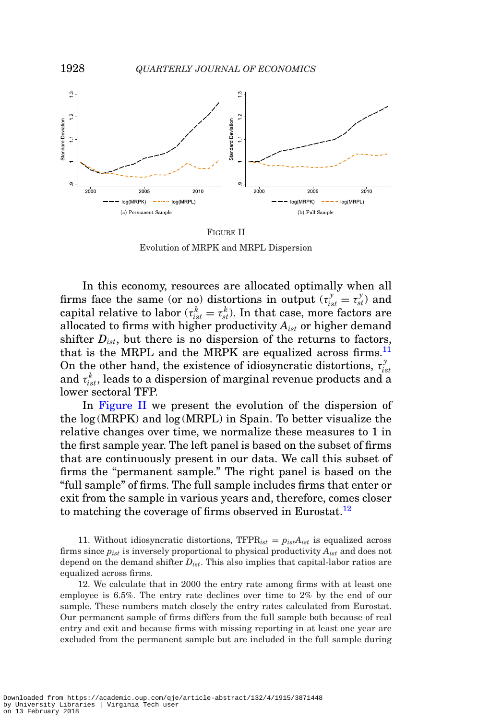<span id="page-13-1"></span>

FIGURE II Evolution of MRPK and MRPL Dispersion

In this economy, resources are allocated optimally when all firms face the same (or no) distortions in output  $(\tau_{ist}^y = \tau_{st}^y)$  and capital relative to labor ( $\tau_{ist}^k = \tau_{st}^k$ ). In that case, more factors are allocated to firms with higher productivity *Aist* or higher demand shifter  $D_{i<sub>st</sub>$ , but there is no dispersion of the returns to factors, that is the MRPL and the MRPK are equalized across firms.<sup>[11](#page-13-0)</sup> On the other hand, the existence of idiosyncratic distortions,  $\tau_{ist}^y$ and  $\tau_{ist}^k$ , leads to a dispersion of marginal revenue products and a lower sectoral TFP.

In [Figure II](#page-13-1) we present the evolution of the dispersion of the log (MRPK) and log (MRPL) in Spain. To better visualize the relative changes over time, we normalize these measures to 1 in the first sample year. The left panel is based on the subset of firms that are continuously present in our data. We call this subset of firms the "permanent sample." The right panel is based on the "full sample" of firms. The full sample includes firms that enter or exit from the sample in various years and, therefore, comes closer to matching the coverage of firms observed in Eurostat.<sup>12</sup>

<span id="page-13-0"></span>11. Without idiosyncratic distortions,  $TFPR_{ist} = p_{ist}A_{ist}$  is equalized across firms since *pist* is inversely proportional to physical productivity *Aist* and does not depend on the demand shifter *Dist*. This also implies that capital-labor ratios are equalized across firms.

<span id="page-13-2"></span>12. We calculate that in 2000 the entry rate among firms with at least one employee is 6.5%. The entry rate declines over time to 2% by the end of our sample. These numbers match closely the entry rates calculated from Eurostat. Our permanent sample of firms differs from the full sample both because of real entry and exit and because firms with missing reporting in at least one year are excluded from the permanent sample but are included in the full sample during

Downloaded from https://academic.oup.com/qje/article-abstract/132/4/1915/3871448 by University Libraries | Virginia Tech user on 13 February 2018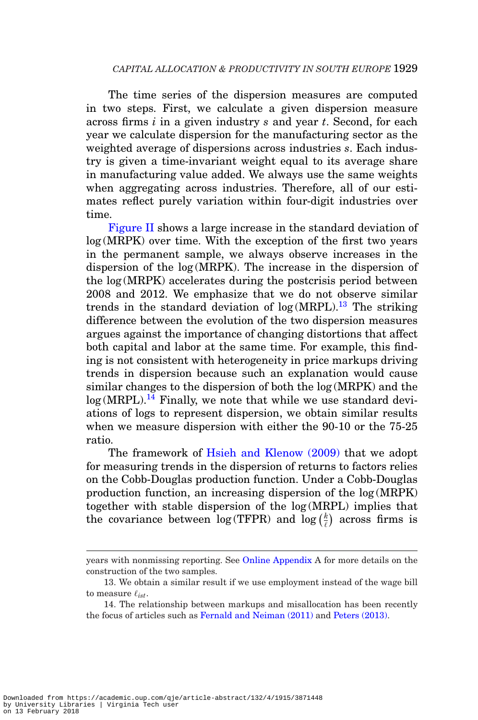The time series of the dispersion measures are computed in two steps. First, we calculate a given dispersion measure across firms *i* in a given industry *s* and year *t*. Second, for each year we calculate dispersion for the manufacturing sector as the weighted average of dispersions across industries *s*. Each industry is given a time-invariant weight equal to its average share in manufacturing value added. We always use the same weights when aggregating across industries. Therefore, all of our estimates reflect purely variation within four-digit industries over time.

[Figure II](#page-13-1) shows a large increase in the standard deviation of log (MRPK) over time. With the exception of the first two years in the permanent sample, we always observe increases in the dispersion of the log (MRPK). The increase in the dispersion of the log (MRPK) accelerates during the postcrisis period between 2008 and 2012. We emphasize that we do not observe similar trends in the standard deviation of  $log(MRPL).$ <sup>13</sup> The striking difference between the evolution of the two dispersion measures argues against the importance of changing distortions that affect both capital and labor at the same time. For example, this finding is not consistent with heterogeneity in price markups driving trends in dispersion because such an explanation would cause similar changes to the dispersion of both the log (MRPK) and the  $log(MRPL).$ <sup>[14](#page-14-1)</sup> Finally, we note that while we use standard deviations of logs to represent dispersion, we obtain similar results when we measure dispersion with either the 90-10 or the 75-25 ratio.

The framework of [Hsieh and Klenow \(2009\)](#page-51-0) that we adopt for measuring trends in the dispersion of returns to factors relies on the Cobb-Douglas production function. Under a Cobb-Douglas production function, an increasing dispersion of the log (MRPK) together with stable dispersion of the log (MRPL) implies that the covariance between  $\log(\text{TFPR})$  and  $\log(\frac{k}{\ell})$  across firms is

years with nonmissing reporting. See [Online Appendix](file:qje.oxfordjournals.org) A for more details on the construction of the two samples.

<span id="page-14-0"></span><sup>13.</sup> We obtain a similar result if we use employment instead of the wage bill to measure *ist*.

<span id="page-14-1"></span><sup>14.</sup> The relationship between markups and misallocation has been recently the focus of articles such as [Fernald and Neiman \(2011\)](#page-51-13) and [Peters \(2013\).](#page-52-3)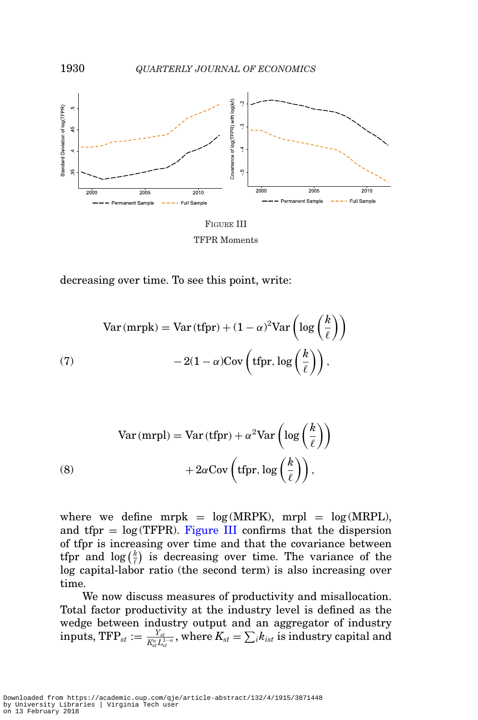<span id="page-15-0"></span>

TFPR Moments

decreasing over time. To see this point, write:

$$
Var(mrpk) = Var(tfpr) + (1 - \alpha)^2 Var\left(\log\left(\frac{k}{\ell}\right)\right)
$$
  
(7) 
$$
-2(1 - \alpha)Cov\left(tfpr, \log\left(\frac{k}{\ell}\right)\right),
$$

(8) 
$$
Var(mrpl) = Var(tfrr) + \alpha^2 Var\left(log\left(\frac{k}{\ell}\right)\right) + 2\alpha Cov\left(tfrr, log\left(\frac{k}{\ell}\right)\right),
$$

where we define mrpk =  $log(MRPK)$ , mrpl =  $log(MRPL)$ , and tfpr  $=$  log(TFPR). [Figure III](#page-15-0) confirms that the dispersion of tfpr is increasing over time and that the covariance between tfpr and  $\log(\frac{k}{\ell})$  is decreasing over time. The variance of the log capital-labor ratio (the second term) is also increasing over time.

We now discuss measures of productivity and misallocation. Total factor productivity at the industry level is defined as the wedge between industry output and an aggregator of industry  $\text{inputs, TFP}_{st} := \frac{Y_{st}}{K_{st}^{\alpha}L_{st}^{1-\alpha}} \text{, where } K_{st} = \sum_{i} k_{ist} \text{ is industry capital and}$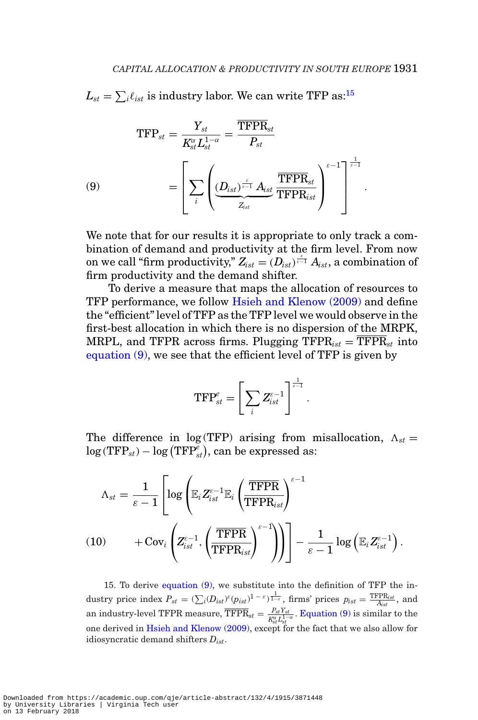$L_{st} = \sum_i \ell_{ist}$  is industry labor. We can write TFP as:<sup>15</sup>

(9)  
\n
$$
\text{TFP}_{st} = \frac{Y_{st}}{K_{st}^{\alpha} L_{st}^{1-\alpha}} = \frac{\overline{\text{TFPR}}_{st}}{P_{st}}
$$
\n
$$
= \left[ \sum_{i} \left( \underbrace{(D_{ist})^{\frac{\varepsilon}{\varepsilon-1}} A_{ist}}_{Z_{ist}} \frac{\overline{\text{TFPR}}_{st}}{\text{TFPR}_{ist}} \right)^{\varepsilon-1} \right]^{\frac{1}{\varepsilon-1}}.
$$

<span id="page-16-1"></span>We note that for our results it is appropriate to only track a combination of demand and productivity at the firm level. From now on we call "firm productivity,"  $Z_{ist} = (D_{ist})^{\frac{\varepsilon}{\varepsilon-1}}$   $A_{ist}$ , a combination of firm productivity and the demand shifter.

To derive a measure that maps the allocation of resources to TFP performance, we follow [Hsieh and Klenow \(2009\)](#page-51-0) and define the "efficient" level of TFP as the TFP level we would observe in the first-best allocation in which there is no dispersion of the MRPK, MRPL, and TFPR across firms. Plugging  $\text{TFPR}_{ist} = \overline{\text{TFPR}}_{st}$  into [equation \(9\),](#page-16-1) we see that the efficient level of TFP is given by

$$
\text{TFP}_{st}^e = \left[ \sum_i Z_{ist}^{e-1} \right]^{\frac{1}{e-1}}.
$$

The difference in  $log(TFP)$  arising from misallocation,  $\Lambda_{st} =$  $\log \left(\text{TFP}_{\textit{st}}\right) - \log \left(\text{TFP}_{\textit{st}}^{e}\right)$ , can be expressed as:

$$
\begin{aligned} \Lambda_{st} &= \frac{1}{\varepsilon-1} \left[ \log \left( \mathbb{E}_i Z_{ist}^{\varepsilon-1} \mathbb{E}_i \left( \frac{\overline{\text{TFPR}}}{\text{TFPR}_{ist}} \right)^{\varepsilon-1} \right. \right. \\ & \left. + \text{Cov}_i \left( Z_{ist}^{\varepsilon-1}, \left( \frac{\overline{\text{TFPR}}}{\text{TFPR}_{ist}} \right)^{\varepsilon-1} \right) \right) \right] - \frac{1}{\varepsilon-1} \log \left( \mathbb{E}_i Z_{ist}^{\varepsilon-1} \right). \end{aligned}
$$

<span id="page-16-2"></span><span id="page-16-0"></span>15. To derive [equation \(9\),](#page-16-1) we substitute into the definition of TFP the industry price index  $P_{st} = (\sum_i (D_{ist})^{\varepsilon} (p_{ist})^{1-\varepsilon})^{\frac{1}{1-\varepsilon}}$ , firms' prices  $p_{ist} = \frac{\text{TFP}_{ist}}{A_{ist}}$ , and an industry-level TFPR measure,  $\overline{\text{TFPR}}_{st} = \frac{P_{st}Y_{st}}{K_{st}^{\alpha}L_{st}^{1-\alpha}}$ . [Equation \(9\)](#page-16-1) is similar to the one derived in [Hsieh and Klenow \(2009\),](#page-51-0) except for the fact that we also allow for idiosyncratic demand shifters *Dist*.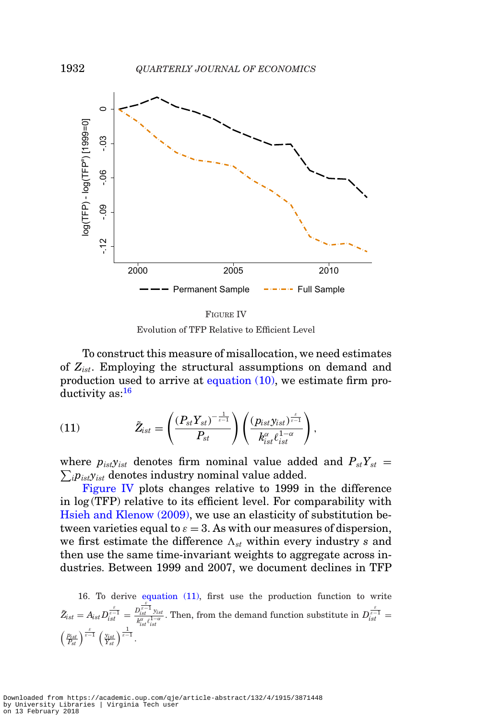<span id="page-17-1"></span>

FIGURE IV Evolution of TFP Relative to Efficient Level

To construct this measure of misallocation, we need estimates of *Zist*. Employing the structural assumptions on demand and production used to arrive at [equation \(10\),](#page-16-2) we estimate firm productivity as[:16](#page-17-0)

<span id="page-17-2"></span>(11) 
$$
\tilde{Z}_{ist} = \left(\frac{(P_{st}Y_{st})^{-\frac{1}{\varepsilon-1}}}{P_{st}}\right)\left(\frac{(p_{ist}y_{ist})^{\frac{\varepsilon}{\varepsilon-1}}}{k_{ist}^{\alpha}\ell_{ist}^{1-\alpha}}\right),
$$

 $\sum_i p_{\textit{ist}} y_{\textit{ist}}$  denotes industry nominal value added. where  $p_{ist}y_{ist}$  denotes firm nominal value added and  $P_{st}Y_{st}$  =

[Figure IV](#page-17-1) plots changes relative to 1999 in the difference in log (TFP) relative to its efficient level. For comparability with [Hsieh and Klenow \(2009\),](#page-51-0) we use an elasticity of substitution between varieties equal to  $\varepsilon = 3$ . As with our measures of dispersion, we first estimate the difference  $\Lambda_{st}$  within every industry *s* and then use the same time-invariant weights to aggregate across industries. Between 1999 and 2007, we document declines in TFP

<span id="page-17-0"></span>16. To derive [equation \(11\),](#page-17-2) first use the production function to write  $\tilde{Z}_{ist} = A_{ist} D_{ist}^{\frac{\varepsilon}{\varepsilon-1}} = \frac{D_{ist}^{\frac{\varepsilon}{\varepsilon-1}} y_{ist}}{k_{ist}^{\omega} t_{ist}^{1-\alpha}}$ . Then, from the demand function substitute in  $D_{ist}^{\frac{\varepsilon}{\varepsilon-1}} =$  $\left(\frac{p_{ist}}{P_{st}}\right)^{\frac{\varepsilon}{\varepsilon-1}}\left(\frac{y_{ist}}{Y_{st}}\right)^{\frac{1}{\varepsilon-1}}.$ 

Downloaded from https://academic.oup.com/qje/article-abstract/132/4/1915/3871448 by University Libraries | Virginia Tech user on 13 February 2018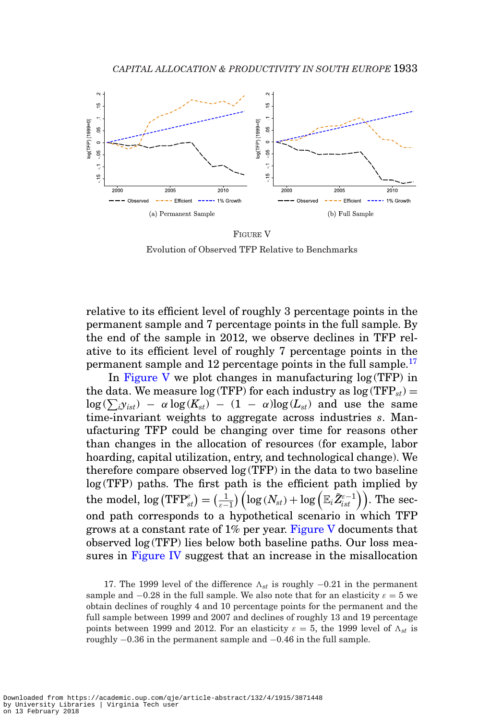<span id="page-18-1"></span>

FIGURE V Evolution of Observed TFP Relative to Benchmarks

relative to its efficient level of roughly 3 percentage points in the permanent sample and 7 percentage points in the full sample. By the end of the sample in 2012, we observe declines in TFP relative to its efficient level of roughly 7 percentage points in the permanent sample and 12 percentage points in the full sample.<sup>[17](#page-18-0)</sup>

In [Figure V](#page-18-1) we plot changes in manufacturing log (TFP) in the data. We measure  $log(TFP)$  for each industry as  $log(TFP<sub>st</sub>)$  =  $\log(\sum_i y_{ist}) - \alpha \log(K_{st}) - (1 - \alpha) \log(L_{st})$  and use the same time-invariant weights to aggregate across industries *s*. Manufacturing TFP could be changing over time for reasons other than changes in the allocation of resources (for example, labor hoarding, capital utilization, entry, and technological change). We therefore compare observed log (TFP) in the data to two baseline log (TFP) paths. The first path is the efficient path implied by  ${\rm the\,\, nodel,\, log\, (TFP^e_{st}) = (\frac{1}{\varepsilon-1})\left(log\, (N_{st}) + \log\left(\mathbb{E}_i\tilde{Z}_{ist}^{e-1}\right)\right)}.$  The second path corresponds to a hypothetical scenario in which TFP grows at a constant rate of  $1\%$  per year. [Figure V](#page-18-1) documents that observed log (TFP) lies below both baseline paths. Our loss measures in [Figure IV](#page-17-1) suggest that an increase in the misallocation

<span id="page-18-0"></span>17. The 1999 level of the difference  $\Lambda_{st}$  is roughly  $-0.21$  in the permanent sample and  $-0.28$  in the full sample. We also note that for an elasticity  $\varepsilon = 5$  we obtain declines of roughly 4 and 10 percentage points for the permanent and the full sample between 1999 and 2007 and declines of roughly 13 and 19 percentage points between 1999 and 2012. For an elasticity  $\varepsilon = 5$ , the 1999 level of  $\Lambda_{st}$  is roughly −0.36 in the permanent sample and −0.46 in the full sample.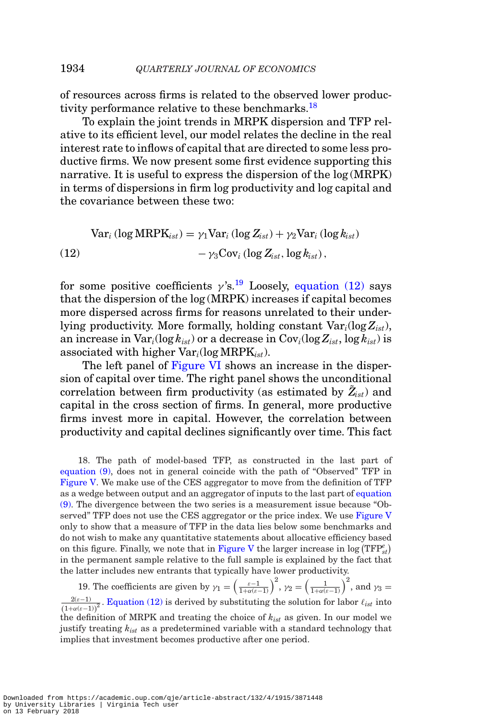of resources across firms is related to the observed lower productivity performance relative to these benchmarks.<sup>18</sup>

To explain the joint trends in MRPK dispersion and TFP relative to its efficient level, our model relates the decline in the real interest rate to inflows of capital that are directed to some less productive firms. We now present some first evidence supporting this narrative. It is useful to express the dispersion of the log (MRPK) in terms of dispersions in firm log productivity and log capital and the covariance between these two:

$$
\begin{aligned} \text{Var}_{i} \left( \log \text{MRPK}_{ist} \right) &= \gamma_1 \text{Var}_{i} \left( \log Z_{ist} \right) + \gamma_2 \text{Var}_{i} \left( \log k_{ist} \right) \\ &- \gamma_3 \text{Cov}_{i} \left( \log Z_{ist}, \log k_{ist} \right), \end{aligned}
$$

<span id="page-19-2"></span>for some positive coefficients  $\gamma$ 's.<sup>19</sup> Loosely, [equation \(12\)](#page-19-2) says that the dispersion of the log (MRPK) increases if capital becomes more dispersed across firms for reasons unrelated to their underlying productivity. More formally, holding constant Var*i*(log*Zist*), an increase in  $\text{Var}_i(\log k_{ist})$  or a decrease in  $\text{Cov}_i(\log Z_{ist}, \log k_{ist})$  is associated with higher Var*i*(log MRPK*ist*).

The left panel of [Figure VI](#page-20-1) shows an increase in the dispersion of capital over time. The right panel shows the unconditional correlation between firm productivity (as estimated by  $Z_{ist}$ ) and capital in the cross section of firms. In general, more productive firms invest more in capital. However, the correlation between productivity and capital declines significantly over time. This fact

<span id="page-19-0"></span>18. The path of model-based TFP, as constructed in the last part of [equation \(9\),](#page-16-1) does not in general coincide with the path of "Observed" TFP in [Figure V.](#page-18-1) We make use of the CES aggregator to move from the definition of TFP as a wedge between output and an aggregator of inputs to the last part of [equation](#page-16-1) [\(9\).](#page-16-1) The divergence between the two series is a measurement issue because "Observed" TFP does not use the CES aggregator or the price index. We use [Figure V](#page-18-1) only to show that a measure of TFP in the data lies below some benchmarks and do not wish to make any quantitative statements about allocative efficiency based on this figure. Finally, we note that in [Figure V](#page-18-1) the larger increase in  $\log (\text{TFP}_{st}^e)$ in the permanent sample relative to the full sample is explained by the fact that the latter includes new entrants that typically have lower productivity.

<span id="page-19-1"></span>19. The coefficients are given by  $\gamma_1 = \left(\frac{\varepsilon - 1}{1 + \alpha(\varepsilon - 1)}\right)^2$ ,  $\gamma_2 = \left(\frac{1}{1 + \alpha(\varepsilon - 1)}\right)^2$ , and  $\gamma_3 =$  $2(\varepsilon-1)$  $\frac{2(\varepsilon-1)}{(1+\alpha(\varepsilon-1))^2}$ . [Equation \(12\)](#page-19-2) is derived by substituting the solution for labor  $\ell_{ist}$  into the definition of MRPK and treating the choice of *kist* as given. In our model we justify treating *kist* as a predetermined variable with a standard technology that implies that investment becomes productive after one period.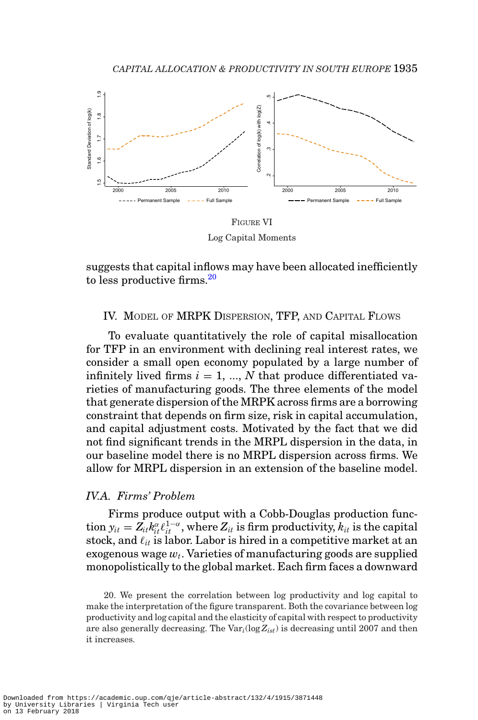<span id="page-20-1"></span>

Log Capital Moments

suggests that capital inflows may have been allocated inefficiently to less productive firms[.20](#page-20-2)

#### <span id="page-20-0"></span>IV. MODEL OF MRPK DISPERSION, TFP, AND CAPITAL FLOWS

To evaluate quantitatively the role of capital misallocation for TFP in an environment with declining real interest rates, we consider a small open economy populated by a large number of infinitely lived firms  $i = 1, ..., N$  that produce differentiated varieties of manufacturing goods. The three elements of the model that generate dispersion of the MRPK across firms are a borrowing constraint that depends on firm size, risk in capital accumulation, and capital adjustment costs. Motivated by the fact that we did not find significant trends in the MRPL dispersion in the data, in our baseline model there is no MRPL dispersion across firms. We allow for MRPL dispersion in an extension of the baseline model.

#### *IV.A. Firms' Problem*

Firms produce output with a Cobb-Douglas production func- $\text{tion } y_{it} = Z_{it} k_{it}^{\alpha} \ell_{it}^{1-\alpha}, \text{where } Z_{it} \text{ is firm productivity, } k_{it} \text{ is the capital}$ stock, and  $\ell_{it}$  is labor. Labor is hired in a competitive market at an  $exogenous$  wage  $w_t$ . Varieties of manufacturing goods are supplied monopolistically to the global market. Each firm faces a downward

<span id="page-20-2"></span>20. We present the correlation between log productivity and log capital to make the interpretation of the figure transparent. Both the covariance between log productivity and log capital and the elasticity of capital with respect to productivity are also generally decreasing. The Var*i*(log*Zist*) is decreasing until 2007 and then it increases.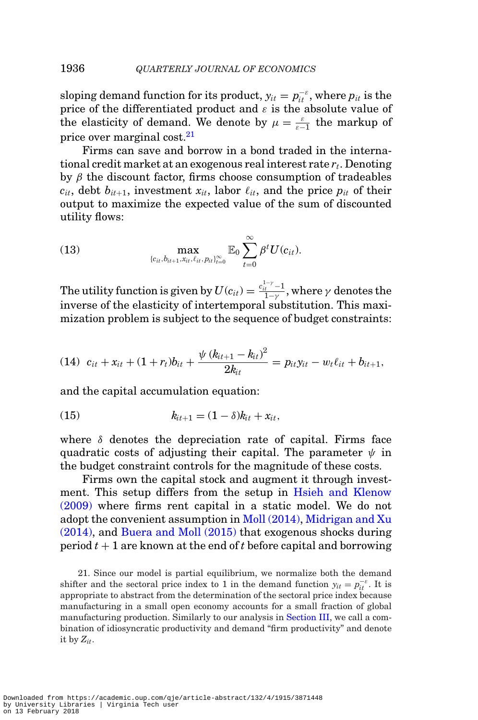sloping demand function for its product,  $y_{it} = p_{it}^{-\varepsilon}$ , where  $p_{it}$  is the price of the differentiated product and  $\varepsilon$  is the absolute value of the elasticity of demand. We denote by  $\mu = \frac{\varepsilon}{\varepsilon - 1}$  the markup of price over marginal cost[.21](#page-21-0)

Firms can save and borrow in a bond traded in the international credit market at an exogenous real interest rate *rt*. Denoting by  $\beta$  the discount factor, firms choose consumption of tradeables  $c_{it}$ , debt  $b_{it+1}$ , investment  $x_{it}$ , labor  $\ell_{it}$ , and the price  $p_{it}$  of their output to maximize the expected value of the sum of discounted utility flows:

(13) 
$$
\max_{(c_{it}, b_{it+1}, x_{it}, \ell_{it}, p_{it})_{t=0}^{\infty}} \mathbb{E}_0 \sum_{t=0}^{\infty} \beta^t U(c_{it}).
$$

The utility function is given by  $U(c_{it}) = \frac{c_{it}^{1-\gamma} - 1}{1-\gamma},$  where  $\gamma$  denotes the inverse of the elasticity of intertemporal substitution. This maximization problem is subject to the sequence of budget constraints:

(14) 
$$
c_{it} + x_{it} + (1 + r_t)b_{it} + \frac{\psi (k_{it+1} - k_{it})^2}{2k_{it}} = p_{it}y_{it} - w_t\ell_{it} + b_{it+1},
$$

and the capital accumulation equation:

(15) 
$$
k_{it+1} = (1 - \delta)k_{it} + x_{it},
$$

where  $\delta$  denotes the depreciation rate of capital. Firms face quadratic costs of adjusting their capital. The parameter  $\psi$  in the budget constraint controls for the magnitude of these costs.

Firms own the capital stock and augment it through investment. This setup differs from the setup in [Hsieh and Klenow](#page-51-0) [\(2009\)](#page-51-0) where firms rent capital in a static model. We do not adopt the convenient assumption in [Moll \(2014\),](#page-51-7) [Midrigan and Xu](#page-51-6) [\(2014\),](#page-51-6) and [Buera and Moll \(2015\)](#page-50-4) that exogenous shocks during period *t* + 1 are known at the end of *t* before capital and borrowing

<span id="page-21-0"></span>21. Since our model is partial equilibrium, we normalize both the demand shifter and the sectoral price index to 1 in the demand function  $y_{it} = p_{it}^{-\varepsilon}$ . It is appropriate to abstract from the determination of the sectoral price index because manufacturing in a small open economy accounts for a small fraction of global manufacturing production. Similarly to our analysis in [Section III,](#page-10-1) we call a combination of idiosyncratic productivity and demand "firm productivity" and denote it by *Zit*.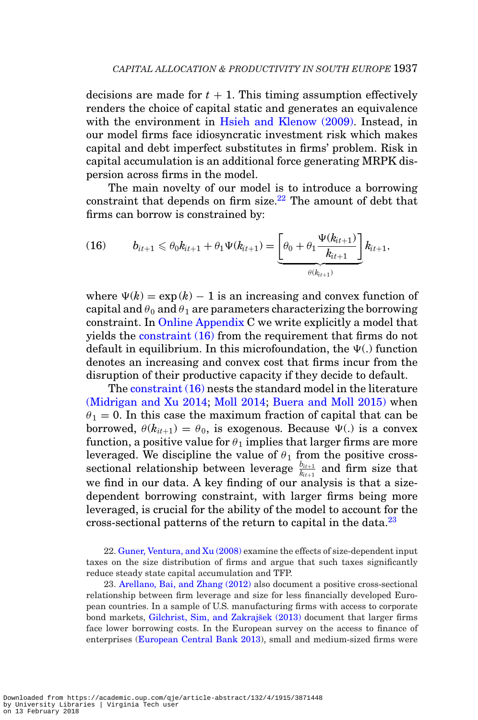decisions are made for  $t + 1$ . This timing assumption effectively renders the choice of capital static and generates an equivalence with the environment in [Hsieh and Klenow \(2009\).](#page-51-0) Instead, in our model firms face idiosyncratic investment risk which makes capital and debt imperfect substitutes in firms' problem. Risk in capital accumulation is an additional force generating MRPK dispersion across firms in the model.

The main novelty of our model is to introduce a borrowing constraint that depends on firm size. $^{22}$  The amount of debt that firms can borrow is constrained by:

<span id="page-22-1"></span>(16) 
$$
b_{it+1} \leq \theta_0 k_{it+1} + \theta_1 \Psi(k_{it+1}) = \underbrace{\left[\theta_0 + \theta_1 \frac{\Psi(k_{it+1})}{k_{it+1}}\right]}_{\theta(k_{it+1})} k_{it+1},
$$

where  $\Psi(k) = \exp(k) - 1$  is an increasing and convex function of capital and  $\theta_0$  and  $\theta_1$  are parameters characterizing the borrowing constraint. In [Online Appendix](file:qje.oxfordjournals.org) C we write explicitly a model that yields the [constraint \(16\)](#page-22-1) from the requirement that firms do not default in equilibrium. In this microfoundation, the  $\Psi(.)$  function denotes an increasing and convex cost that firms incur from the disruption of their productive capacity if they decide to default.

The [constraint \(16\)](#page-22-1) nests the standard model in the literature [\(Midrigan and Xu 2014;](#page-51-6) [Moll 2014;](#page-51-7) [Buera and Moll 2015\)](#page-50-4) when  $\theta_1 = 0$ . In this case the maximum fraction of capital that can be borrowed,  $\theta(k_{it+1}) = \theta_0$ , is exogenous. Because  $\Psi(.)$  is a convex function, a positive value for  $\theta_1$  implies that larger firms are more leveraged. We discipline the value of  $\theta_1$  from the positive crosssectional relationship between leverage  $\frac{b_{it+1}}{k_{it+1}}$  and firm size that we find in our data. A key finding of our analysis is that a sizedependent borrowing constraint, with larger firms being more leveraged, is crucial for the ability of the model to account for the cross-sectional patterns of the return to capital in the data.<sup>[23](#page-22-2)</sup>

<span id="page-22-0"></span>22. [Guner, Ventura, and Xu \(2008\)](#page-51-14) examine the effects of size-dependent input taxes on the size distribution of firms and argue that such taxes significantly reduce steady state capital accumulation and TFP.

<span id="page-22-2"></span>23. [Arellano, Bai, and Zhang \(2012\)](#page-50-10) also document a positive cross-sectional relationship between firm leverage and size for less financially developed European countries. In a sample of U.S. manufacturing firms with access to corporate bond markets, Gilchrist, Sim, and Zakrajšek (2013) document that larger firms face lower borrowing costs. In the European survey on the access to finance of enterprises [\(European Central Bank 2013\)](#page-51-16), small and medium-sized firms were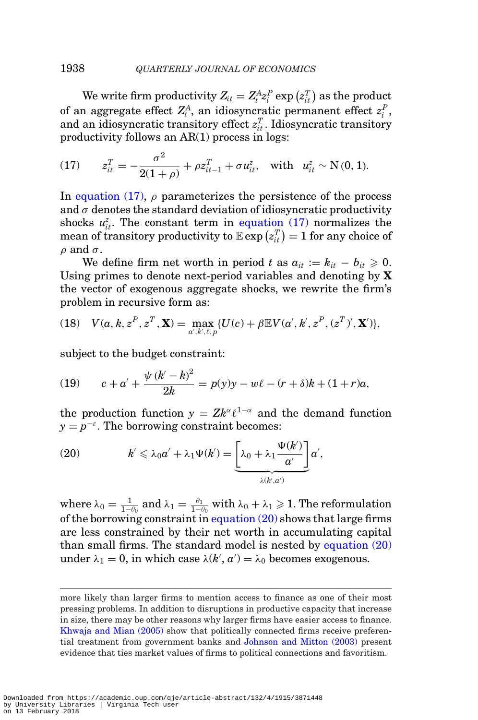#### 1938 *QUARTERLY JOURNAL OF ECONOMICS*

We write firm productivity  $Z_{it} = Z_t^A z_i^P \exp(z_{it}^T)$  as the product of an aggregate effect  $Z_t^A$ , an idiosyncratic permanent effect  $z_i^P$ , and an idiosyncratic transitory effect  $z_{it}^T$ . Idiosyncratic transitory productivity follows an AR(1) process in logs:

<span id="page-23-0"></span>(17) 
$$
z_{it}^T = -\frac{\sigma^2}{2(1+\rho)} + \rho z_{it-1}^T + \sigma u_{it}^z, \text{ with } u_{it}^z \sim N(0, 1).
$$

In [equation \(17\),](#page-23-0)  $\rho$  parameterizes the persistence of the process and  $\sigma$  denotes the standard deviation of idiosyncratic productivity shocks  $u_{it}^z$ . The constant term in [equation \(17\)](#page-23-0) normalizes the  $\text{mean of transitory productivity to } \mathbb{E} \exp \left( z_{it}^T \right) = 1 \text{ for any choice of }$  $\rho$  and  $\sigma$ .

We define firm net worth in period *t* as  $a_{it} := k_{it} - b_{it} \geq 0$ . Using primes to denote next-period variables and denoting by **X** the vector of exogenous aggregate shocks, we rewrite the firm's problem in recursive form as:

(18) 
$$
V(a, k, z^P, z^T, \mathbf{X}) = \max_{a', k', \ell, p} \{ U(c) + \beta \mathbb{E} V(a', k', z^P, (z^T)', \mathbf{X}') \},
$$

subject to the budget constraint:

(19) 
$$
c + a' + \frac{\psi (k' - k)^2}{2k} = p(y)y - w\ell - (r + \delta)k + (1 + r)a,
$$

the production function  $y = Zk^{\alpha} \ell^{1-\alpha}$  and the demand function  $y = p^{-\varepsilon}$ . The borrowing constraint becomes:

<span id="page-23-1"></span>(20) 
$$
k' \leq \lambda_0 a' + \lambda_1 \Psi(k') = \underbrace{\left[\lambda_0 + \lambda_1 \frac{\Psi(k')}{a'}\right]}_{\lambda(k',a')} a',
$$

where  $\lambda_0 = \frac{1}{1-\theta_0} \text{ and } \lambda_1 = \frac{\theta_1}{1-\theta_0} \text{ with } \lambda_0 + \lambda_1 \geqslant 1.$  The reformulation of the borrowing constraint in equation  $(20)$  shows that large firms are less constrained by their net worth in accumulating capital than small firms. The standard model is nested by [equation \(20\)](#page-23-1) under  $\lambda_1 = 0$ , in which case  $\lambda(k', a') = \lambda_0$  becomes exogenous.

more likely than larger firms to mention access to finance as one of their most pressing problems. In addition to disruptions in productive capacity that increase in size, there may be other reasons why larger firms have easier access to finance. [Khwaja and Mian \(2005\)](#page-51-17) show that politically connected firms receive preferential treatment from government banks and [Johnson and Mitton \(2003\)](#page-51-18) present evidence that ties market values of firms to political connections and favoritism.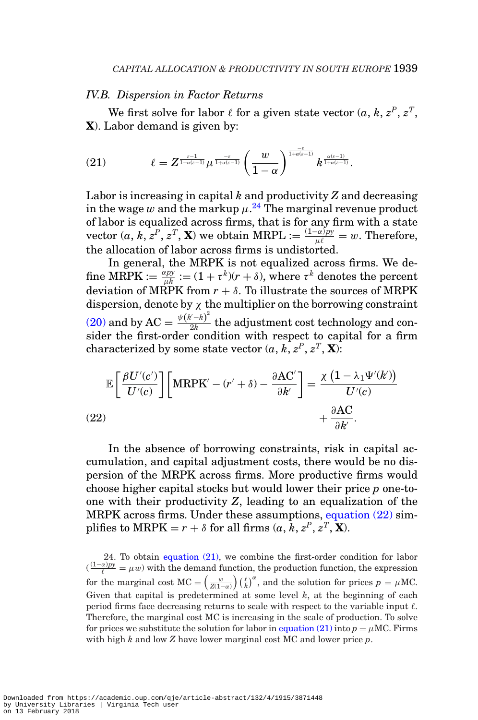### *IV.B. Dispersion in Factor Returns*

We first solve for labor  $\ell$  for a given state vector  $(a, k, z^P, z^T, z^T)$ **X**). Labor demand is given by:

<span id="page-24-2"></span>
$$
(21) \qquad \qquad \ell=Z^{\frac{\varepsilon-1}{1+\alpha(\varepsilon-1)}}\mu^{\frac{-\varepsilon}{1+\alpha(\varepsilon-1)}}\left(\frac{w}{1-\alpha}\right)^{\frac{-\varepsilon}{1+\alpha(\varepsilon-1)}}k^{\frac{\alpha(\varepsilon-1)}{1+\alpha(\varepsilon-1)}}.
$$

Labor is increasing in capital *k* and productivity *Z* and decreasing in the wage  $w$  and the markup  $\mu.^{\bf 24}$  $\mu.^{\bf 24}$  $\mu.^{\bf 24}$  The marginal revenue product of labor is equalized across firms, that is for any firm with a state vector  $(a, k, z^P, z^T, \mathbf{X})$  we obtain MRPL  $:= \frac{(1-\alpha)py}{\mu \ell} = w$ . Therefore, the allocation of labor across firms is undistorted.

In general, the MRPK is not equalized across firms. We de- ${\rm ~fine~} \text{MRPK} := \frac{\alpha p y}{\mu k} := (1+\tau^k)(r+\delta), \text{ where } \tau^k \text{ denotes the percent}$ deviation of MRPK from  $r + \delta$ . To illustrate the sources of MRPK dispersion, denote by  $\chi$  the multiplier on the borrowing constraint [\(20\)](#page-23-1) and by AC =  $\frac{\psi(k-k)^2}{2k}$  the adjustment cost technology and consider the first-order condition with respect to capital for a firm characterized by some state vector  $(a, k, z^P, z^T, \mathbf{X})$ :

$$
\mathbb{E}\left[\frac{\beta U'(c')}{U'(c)}\right] \left[\text{MRPK}' - (r' + \delta) - \frac{\partial \text{AC}'}{\partial k'}\right] = \frac{\chi\left(1 - \lambda_1 \Psi'(k')\right)}{U'(c)} + \frac{\partial \text{AC}}{\partial k'}.
$$
\n(22)

<span id="page-24-1"></span>In the absence of borrowing constraints, risk in capital accumulation, and capital adjustment costs, there would be no dispersion of the MRPK across firms. More productive firms would choose higher capital stocks but would lower their price *p* one-toone with their productivity *Z*, leading to an equalization of the MRPK across firms. Under these assumptions, [equation \(22\)](#page-24-1) simplifies to MRPK =  $r + \delta$  for all firms  $(a, k, z^P, z^T, \mathbf{X})$ .

<span id="page-24-0"></span>24. To obtain [equation \(21\),](#page-24-2) we combine the first-order condition for labor  $(\frac{(1-\alpha)py}{\ell} = \mu w)$  with the demand function, the production function, the expression for the marginal cost  $MC = \left(\frac{w}{Z(1-\alpha)}\right) \left(\frac{\ell}{k}\right)^{\alpha}$ , and the solution for prices  $p = \mu MC$ . Given that capital is predetermined at some level *k*, at the beginning of each period firms face decreasing returns to scale with respect to the variable input  $\ell$ . Therefore, the marginal cost MC is increasing in the scale of production. To solve for prices we substitute the solution for labor in [equation \(21\)](#page-24-2) into  $p = \mu MC$ . Firms with high *k* and low *Z* have lower marginal cost MC and lower price *p*.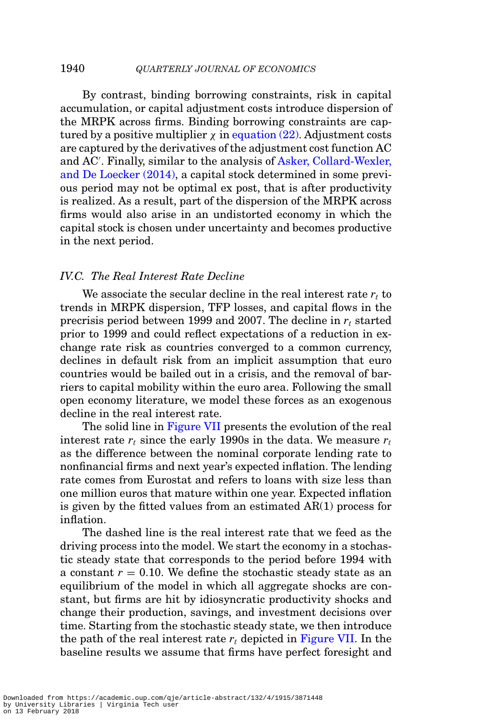By contrast, binding borrowing constraints, risk in capital accumulation, or capital adjustment costs introduce dispersion of the MRPK across firms. Binding borrowing constraints are captured by a positive multiplier  $\chi$  in [equation \(22\).](#page-24-1) Adjustment costs are captured by the derivatives of the adjustment cost function AC and AC . Finally, similar to the analysis of [Asker, Collard-Wexler,](#page-50-1) [and De Loecker \(2014\),](#page-50-1) a capital stock determined in some previous period may not be optimal ex post, that is after productivity is realized. As a result, part of the dispersion of the MRPK across firms would also arise in an undistorted economy in which the capital stock is chosen under uncertainty and becomes productive in the next period.

#### *IV.C. The Real Interest Rate Decline*

We associate the secular decline in the real interest rate  $r_t$  to trends in MRPK dispersion, TFP losses, and capital flows in the precrisis period between 1999 and 2007. The decline in *rt* started prior to 1999 and could reflect expectations of a reduction in exchange rate risk as countries converged to a common currency, declines in default risk from an implicit assumption that euro countries would be bailed out in a crisis, and the removal of barriers to capital mobility within the euro area. Following the small open economy literature, we model these forces as an exogenous decline in the real interest rate.

The solid line in [Figure VII](#page-26-0) presents the evolution of the real interest rate  $r_t$  since the early 1990s in the data. We measure  $r_t$ as the difference between the nominal corporate lending rate to nonfinancial firms and next year's expected inflation. The lending rate comes from Eurostat and refers to loans with size less than one million euros that mature within one year. Expected inflation is given by the fitted values from an estimated AR(1) process for inflation.

The dashed line is the real interest rate that we feed as the driving process into the model. We start the economy in a stochastic steady state that corresponds to the period before 1994 with a constant  $r = 0.10$ . We define the stochastic steady state as an equilibrium of the model in which all aggregate shocks are constant, but firms are hit by idiosyncratic productivity shocks and change their production, savings, and investment decisions over time. Starting from the stochastic steady state, we then introduce the path of the real interest rate  $r_t$  depicted in [Figure VII.](#page-26-0) In the baseline results we assume that firms have perfect foresight and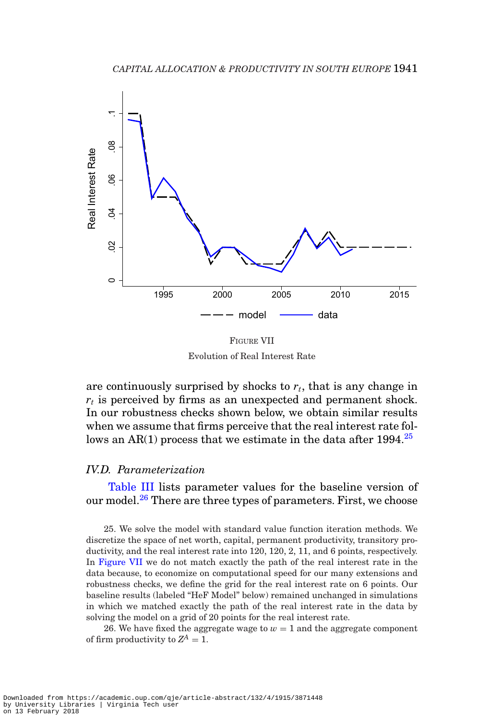<span id="page-26-0"></span>

FIGURE VII Evolution of Real Interest Rate

are continuously surprised by shocks to  $r_t$ , that is any change in  $r_t$  is perceived by firms as an unexpected and permanent shock. In our robustness checks shown below, we obtain similar results when we assume that firms perceive that the real interest rate follows an AR(1) process that we estimate in the data after  $1994.<sup>25</sup>$ 

### *IV.D. Parameterization*

[Table III](#page-27-0) lists parameter values for the baseline version of our model.<sup>[26](#page-26-2)</sup> There are three types of parameters. First, we choose

<span id="page-26-1"></span>25. We solve the model with standard value function iteration methods. We discretize the space of net worth, capital, permanent productivity, transitory productivity, and the real interest rate into 120, 120, 2, 11, and 6 points, respectively. In [Figure VII](#page-26-0) we do not match exactly the path of the real interest rate in the data because, to economize on computational speed for our many extensions and robustness checks, we define the grid for the real interest rate on 6 points. Our baseline results (labeled "HeF Model" below) remained unchanged in simulations in which we matched exactly the path of the real interest rate in the data by solving the model on a grid of 20 points for the real interest rate.

<span id="page-26-2"></span>26. We have fixed the aggregate wage to  $w = 1$  and the aggregate component of firm productivity to  $Z^A = 1$ .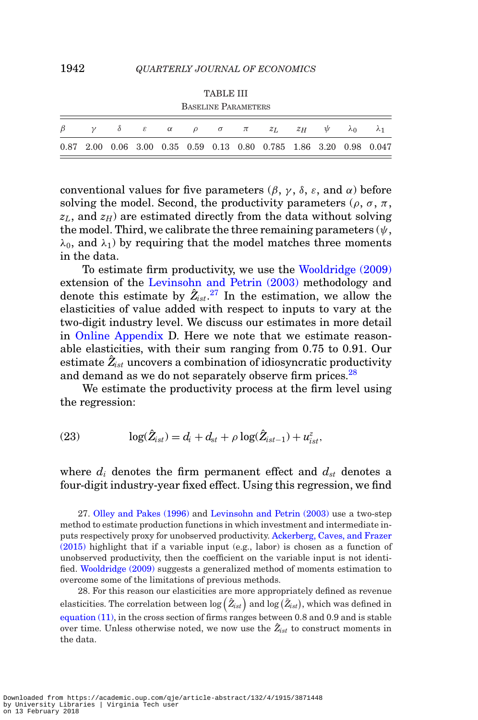TABLE III

<span id="page-27-0"></span>

| <b>BASELINE PARAMETERS</b> |  |  |  |  |  |  |  |                                                                    |               |             |  |
|----------------------------|--|--|--|--|--|--|--|--------------------------------------------------------------------|---------------|-------------|--|
|                            |  |  |  |  |  |  |  | $\delta$ $\varepsilon$ $\alpha$ $\rho$ $\sigma$ $\pi$ $z_L$ $z_H$  | $\mathcal{U}$ | $\lambda$ 0 |  |
|                            |  |  |  |  |  |  |  | 0.87 2.00 0.06 3.00 0.35 0.59 0.13 0.80 0.785 1.86 3.20 0.98 0.047 |               |             |  |

conventional values for five parameters  $(\beta, \gamma, \delta, \varepsilon, \text{ and } \alpha)$  before solving the model. Second, the productivity parameters ( $\rho$ ,  $\sigma$ ,  $\pi$ ,  $z_L$ , and  $z_H$ ) are estimated directly from the data without solving the model. Third, we calibrate the three remaining parameters  $(\psi, \psi)$  $\lambda_0$ , and  $\lambda_1$ ) by requiring that the model matches three moments in the data.

To estimate firm productivity, we use the [Wooldridge \(2009\)](#page-52-4) extension of the [Levinsohn and Petrin \(2003\)](#page-51-19) methodology and denote this estimate by  $\hat{Z}_{ist}$ .<sup>[27](#page-27-1)</sup> In the estimation, we allow the elasticities of value added with respect to inputs to vary at the two-digit industry level. We discuss our estimates in more detail in [Online Appendix](file:qje.oxfordjournals.org) D. Here we note that we estimate reasonable elasticities, with their sum ranging from 0.75 to 0.91. Our estimate  $\hat{Z}_{\text{ist}}$  uncovers a combination of idiosyncratic productivity and demand as we do not separately observe firm prices.<sup>[28](#page-27-2)</sup>

We estimate the productivity process at the firm level using the regression:

<span id="page-27-3"></span>(23) 
$$
\log(\hat{Z}_{ist}) = d_i + d_{st} + \rho \log(\hat{Z}_{ist-1}) + u_{ist}^z,
$$

where  $d_i$  denotes the firm permanent effect and  $d_{st}$  denotes a four-digit industry-year fixed effect. Using this regression, we find

<span id="page-27-1"></span>27. [Olley and Pakes \(1996\)](#page-52-5) and [Levinsohn and Petrin \(2003\)](#page-51-19) use a two-step method to estimate production functions in which investment and intermediate inputs respectively proxy for unobserved productivity. [Ackerberg, Caves, and Frazer](#page-50-11) [\(2015\)](#page-50-11) highlight that if a variable input (e.g., labor) is chosen as a function of unobserved productivity, then the coefficient on the variable input is not identified. [Wooldridge \(2009\)](#page-52-4) suggests a generalized method of moments estimation to overcome some of the limitations of previous methods.

<span id="page-27-2"></span>28. For this reason our elasticities are more appropriately defined as revenue elasticities. The correlation between  $\log \left( \hat{Z}_{ist} \right)$  and  $\log \left( \tilde{Z}_{ist} \right)$ , which was defined in [equation \(11\),](#page-17-2) in the cross section of firms ranges between 0.8 and 0.9 and is stable over time. Unless otherwise noted, we now use the  $\hat{Z}_{ist}$  to construct moments in the data.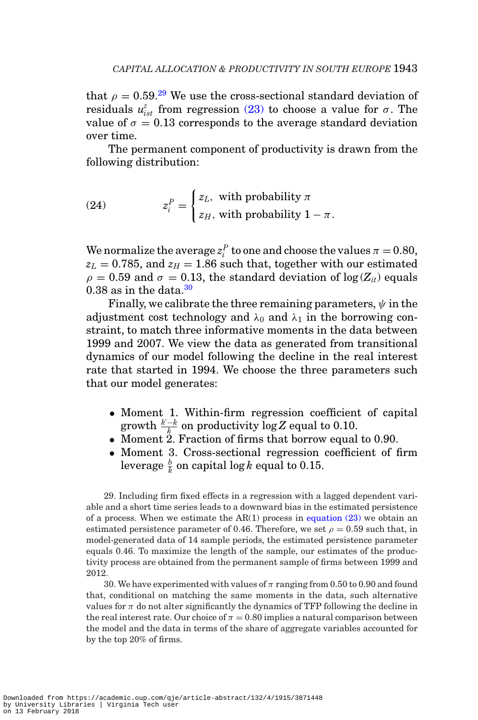that  $\rho = 0.59^{29}$  $\rho = 0.59^{29}$  $\rho = 0.59^{29}$  We use the cross-sectional standard deviation of residuals  $u_{ist}^z$  from regression [\(23\)](#page-27-3) to choose a value for  $\sigma$ . The value of  $\sigma = 0.13$  corresponds to the average standard deviation over time.

The permanent component of productivity is drawn from the following distribution:

(24) 
$$
z_i^P = \begin{cases} z_L, & \text{with probability } \pi \\ z_H, & \text{with probability } 1 - \pi. \end{cases}
$$

We normalize the average  $z_i^P$  to one and choose the values  $\pi = 0.80$ ,  $z_L = 0.785$ , and  $z_H = 1.86$  such that, together with our estimated  $\rho = 0.59$  and  $\sigma = 0.13$ , the standard deviation of  $\log(Z_{it})$  equals 0.38 as in the data. $30$ 

Finally, we calibrate the three remaining parameters,  $\psi$  in the adjustment cost technology and  $\lambda_0$  and  $\lambda_1$  in the borrowing constraint, to match three informative moments in the data between 1999 and 2007. We view the data as generated from transitional dynamics of our model following the decline in the real interest rate that started in 1994. We choose the three parameters such that our model generates:

- Moment 1. Within-firm regression coefficient of capital  $\frac{g \cdot h}{h}$  on productivity  $\log Z$  equal to 0.10.
- Moment 2. Fraction of firms that borrow equal to 0.90.
- Moment 3. Cross-sectional regression coefficient of firm leverage  $\frac{b}{k}$  on capital log  $k$  equal to 0.15.

<span id="page-28-0"></span>29. Including firm fixed effects in a regression with a lagged dependent variable and a short time series leads to a downward bias in the estimated persistence of a process. When we estimate the  $AR(1)$  process in [equation \(23\)](#page-27-3) we obtain an estimated persistence parameter of 0.46. Therefore, we set  $\rho = 0.59$  such that, in model-generated data of 14 sample periods, the estimated persistence parameter equals 0.46. To maximize the length of the sample, our estimates of the productivity process are obtained from the permanent sample of firms between 1999 and 2012.

<span id="page-28-1"></span>30. We have experimented with values of  $\pi$  ranging from 0.50 to 0.90 and found that, conditional on matching the same moments in the data, such alternative values for  $\pi$  do not alter significantly the dynamics of TFP following the decline in the real interest rate. Our choice of  $\pi = 0.80$  implies a natural comparison between the model and the data in terms of the share of aggregate variables accounted for by the top 20% of firms.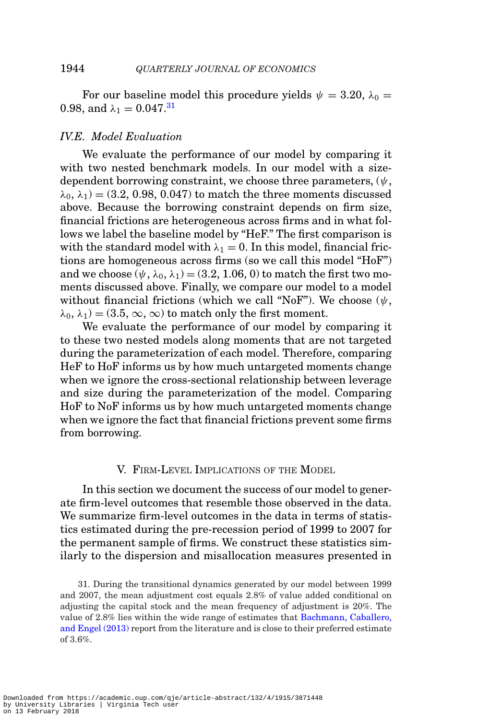For our baseline model this procedure yields  $\psi = 3.20, \lambda_0 =$ 0.98, and  $\lambda_1 = 0.047$ .<sup>[31](#page-29-0)</sup>

### *IV.E. Model Evaluation*

We evaluate the performance of our model by comparing it with two nested benchmark models. In our model with a sizedependent borrowing constraint, we choose three parameters,  $(\psi, \psi)$  $\lambda_0, \lambda_1$  = (3.2, 0.98, 0.047) to match the three moments discussed above. Because the borrowing constraint depends on firm size, financial frictions are heterogeneous across firms and in what follows we label the baseline model by "HeF." The first comparison is with the standard model with  $\lambda_1 = 0$ . In this model, financial frictions are homogeneous across firms (so we call this model "HoF") and we choose  $(\psi, \lambda_0, \lambda_1) = (3.2, 1.06, 0)$  to match the first two moments discussed above. Finally, we compare our model to a model without financial frictions (which we call "NoF"). We choose  $(\psi, \psi)$  $\lambda_0, \lambda_1$  = (3.5,  $\infty$ ,  $\infty$ ) to match only the first moment.

We evaluate the performance of our model by comparing it to these two nested models along moments that are not targeted during the parameterization of each model. Therefore, comparing HeF to HoF informs us by how much untargeted moments change when we ignore the cross-sectional relationship between leverage and size during the parameterization of the model. Comparing HoF to NoF informs us by how much untargeted moments change when we ignore the fact that financial frictions prevent some firms from borrowing.

#### V. FIRM-LEVEL IMPLICATIONS OF THE MODEL

In this section we document the success of our model to generate firm-level outcomes that resemble those observed in the data. We summarize firm-level outcomes in the data in terms of statistics estimated during the pre-recession period of 1999 to 2007 for the permanent sample of firms. We construct these statistics similarly to the dispersion and misallocation measures presented in

<span id="page-29-0"></span><sup>31.</sup> During the transitional dynamics generated by our model between 1999 and 2007, the mean adjustment cost equals 2.8% of value added conditional on adjusting the capital stock and the mean frequency of adjustment is 20%. The value of 2.8% lies within the wide range of estimates that [Bachmann, Caballero,](#page-50-12) [and Engel \(2013\)](#page-50-12) report from the literature and is close to their preferred estimate of 3.6%.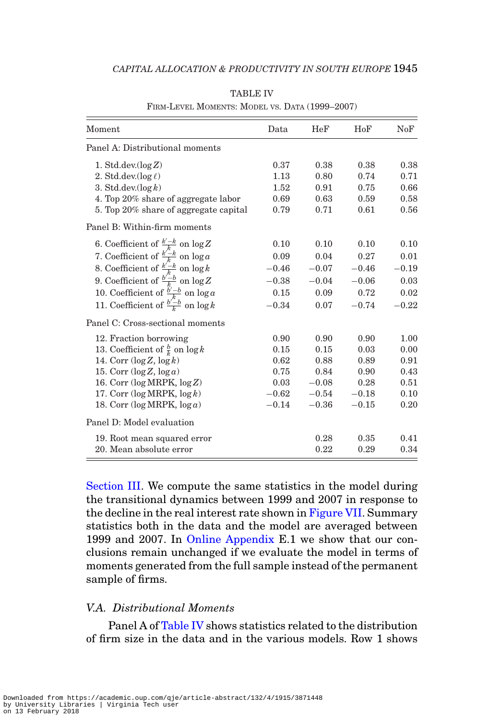<span id="page-30-0"></span>

| Moment                                          | Data      | HeF     | HoF     | NoF     |
|-------------------------------------------------|-----------|---------|---------|---------|
| Panel A: Distributional moments                 |           |         |         |         |
| 1. Std.dev. $(\log Z)$                          | 0.37      | 0.38    | 0.38    | 0.38    |
| 2. Std.dev.( $\log \ell$ )                      | 1.13      | 0.80    | 0.74    | 0.71    |
| 3. Std.dev. $(\log k)$                          | 1.52      | 0.91    | 0.75    | 0.66    |
| 4. Top 20% share of aggregate labor             | 0.69      | 0.63    | 0.59    | 0.58    |
| 5. Top 20% share of aggregate capital           | 0.79      | 0.71    | 0.61    | 0.56    |
| Panel B: Within-firm moments                    |           |         |         |         |
| 6. Coefficient of $\frac{k'-k}{k}$ on $\log Z$  | 0.10      | 0.10    | 0.10    | 0.10    |
| 7. Coefficient of $\frac{k'-k}{k}$ on $\log a$  | 0.09      | 0.04    | 0.27    | 0.01    |
| 8. Coefficient of $\frac{k'-k}{k}$ on $\log k$  | $-0.46$   | $-0.07$ | $-0.46$ | $-0.19$ |
| 9. Coefficient of $\frac{b'-b}{b}$ on $\log Z$  | $-0.38$   | $-0.04$ | $-0.06$ | 0.03    |
| 10. Coefficient of $\frac{b'-b}{k}$ on $\log a$ | 0.15      | 0.09    | 0.72    | 0.02    |
| 11. Coefficient of $\frac{b'-b}{b}$ on $\log k$ | $-0.34$   | 0.07    | $-0.74$ | $-0.22$ |
| Panel C: Cross-sectional moments                |           |         |         |         |
| 12. Fraction borrowing                          | 0.90      | 0.90    | 0.90    | 1.00    |
| 13. Coefficient of $\frac{b}{k}$ on $\log k$    | 0.15      | 0.15    | 0.03    | 0.00    |
| 14. Corr $(\log Z, \log k)$                     | 0.62      | 0.88    | 0.89    | 0.91    |
| 15. Corr $(\log Z, \log a)$                     | 0.75      | 0.84    | 0.90    | 0.43    |
| 16. Corr $(\log MRPK, \log Z)$                  | 0.03      | $-0.08$ | 0.28    | 0.51    |
| 17. Corr $(\log MRPK, \log k)$                  | $-0.62\,$ | $-0.54$ | $-0.18$ | 0.10    |
| 18. Corr ( $log$ MRPK, $log a$ )                | $-0.14$   | $-0.36$ | $-0.15$ | 0.20    |
| Panel D: Model evaluation                       |           |         |         |         |
| 19. Root mean squared error                     |           | 0.28    | 0.35    | 0.41    |
| 20. Mean absolute error                         |           | 0.22    | 0.29    | 0.34    |

TABLE IV

FIRM-LEVEL MOMENTS: MODEL VS. DATA (1999–2007)

[Section III.](#page-10-1) We compute the same statistics in the model during the transitional dynamics between 1999 and 2007 in response to the decline in the real interest rate shown in [Figure VII.](#page-26-0) Summary statistics both in the data and the model are averaged between 1999 and 2007. In [Online Appendix](file:qje.oxfordjournals.org) E.1 we show that our conclusions remain unchanged if we evaluate the model in terms of moments generated from the full sample instead of the permanent sample of firms.

# *V.A. Distributional Moments*

Panel A of [Table IV](#page-30-0) shows statistics related to the distribution of firm size in the data and in the various models. Row 1 shows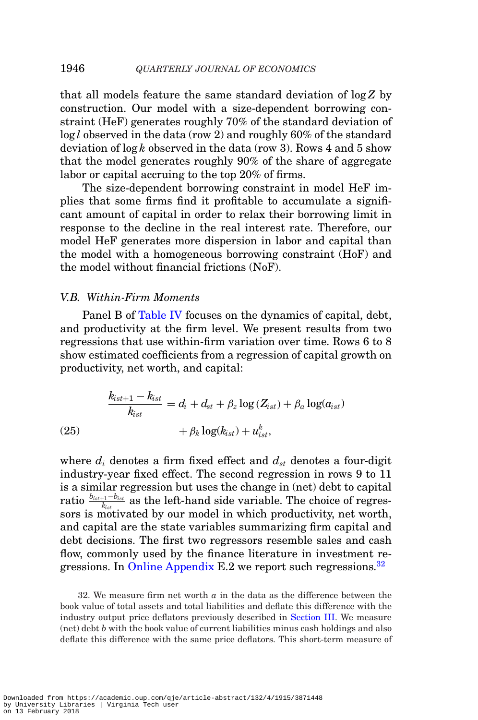that all models feature the same standard deviation of log *Z* by construction. Our model with a size-dependent borrowing constraint (HeF) generates roughly 70% of the standard deviation of log *l* observed in the data (row 2) and roughly 60% of the standard deviation of log *k* observed in the data (row 3). Rows 4 and 5 show that the model generates roughly 90% of the share of aggregate labor or capital accruing to the top 20% of firms.

The size-dependent borrowing constraint in model HeF implies that some firms find it profitable to accumulate a significant amount of capital in order to relax their borrowing limit in response to the decline in the real interest rate. Therefore, our model HeF generates more dispersion in labor and capital than the model with a homogeneous borrowing constraint (HoF) and the model without financial frictions (NoF).

#### *V.B. Within-Firm Moments*

Panel B of [Table IV](#page-30-0) focuses on the dynamics of capital, debt, and productivity at the firm level. We present results from two regressions that use within-firm variation over time. Rows 6 to 8 show estimated coefficients from a regression of capital growth on productivity, net worth, and capital:

$$
\frac{k_{ist+1} - k_{ist}}{k_{ist}} = d_i + d_{st} + \beta_z \log(Z_{ist}) + \beta_a \log(a_{ist})
$$
  
(25) 
$$
+ \beta_k \log(k_{ist}) + u_{ist}^k,
$$

where  $d_i$  denotes a firm fixed effect and  $d_{st}$  denotes a four-digit industry-year fixed effect. The second regression in rows 9 to 11 is a similar regression but uses the change in (net) debt to capital ratio  $\frac{b_{ist+1}-b_{ist}}{k_{ist}}$  as the left-hand side variable. The choice of regressors is motivated by our model in which productivity, net worth, and capital are the state variables summarizing firm capital and debt decisions. The first two regressors resemble sales and cash flow, commonly used by the finance literature in investment re-gressions. In [Online Appendix](file:qje.oxfordjournals.org) E.2 we report such regressions.<sup>[32](#page-31-0)</sup>

<span id="page-31-0"></span>32. We measure firm net worth *a* in the data as the difference between the book value of total assets and total liabilities and deflate this difference with the industry output price deflators previously described in [Section III.](#page-10-1) We measure (net) debt *b* with the book value of current liabilities minus cash holdings and also deflate this difference with the same price deflators. This short-term measure of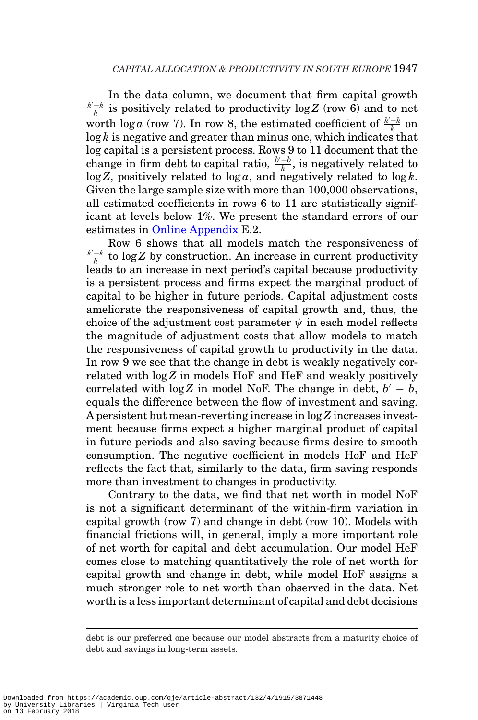In the data column, we document that firm capital growth  $\frac{k'-k}{k}$  is positively related to productivity log Z (row 6) and to net worth  $\log a$  (row 7). In row 8, the estimated coefficient of  $\frac{k-k}{k}$  on  $\log k$  is negative and greater than minus one, which indicates that log capital is a persistent process. Rows 9 to 11 document that the change in firm debt to capital ratio,  $\frac{b'-b}{k}$ , is negatively related to  $\log Z$ , positively related to  $\log a$ , and negatively related to  $\log k$ . Given the large sample size with more than 100,000 observations, all estimated coefficients in rows 6 to 11 are statistically significant at levels below 1%. We present the standard errors of our estimates in [Online Appendix](file:qje.oxfordjournals.org) E.2.

Row 6 shows that all models match the responsiveness of  $\frac{k-k}{k}$  to log *Z* by construction. An increase in current productivity leads to an increase in next period's capital because productivity is a persistent process and firms expect the marginal product of capital to be higher in future periods. Capital adjustment costs ameliorate the responsiveness of capital growth and, thus, the choice of the adjustment cost parameter  $\psi$  in each model reflects the magnitude of adjustment costs that allow models to match the responsiveness of capital growth to productivity in the data. In row 9 we see that the change in debt is weakly negatively correlated with log*Z* in models HoF and HeF and weakly positively correlated with  $\log Z$  in model NoF. The change in debt,  $b' - b$ , equals the difference between the flow of investment and saving. A persistent but mean-reverting increase in log *Z* increases investment because firms expect a higher marginal product of capital in future periods and also saving because firms desire to smooth consumption. The negative coefficient in models HoF and HeF reflects the fact that, similarly to the data, firm saving responds more than investment to changes in productivity.

Contrary to the data, we find that net worth in model NoF is not a significant determinant of the within-firm variation in capital growth (row 7) and change in debt (row 10). Models with financial frictions will, in general, imply a more important role of net worth for capital and debt accumulation. Our model HeF comes close to matching quantitatively the role of net worth for capital growth and change in debt, while model HoF assigns a much stronger role to net worth than observed in the data. Net worth is a less important determinant of capital and debt decisions

debt is our preferred one because our model abstracts from a maturity choice of debt and savings in long-term assets.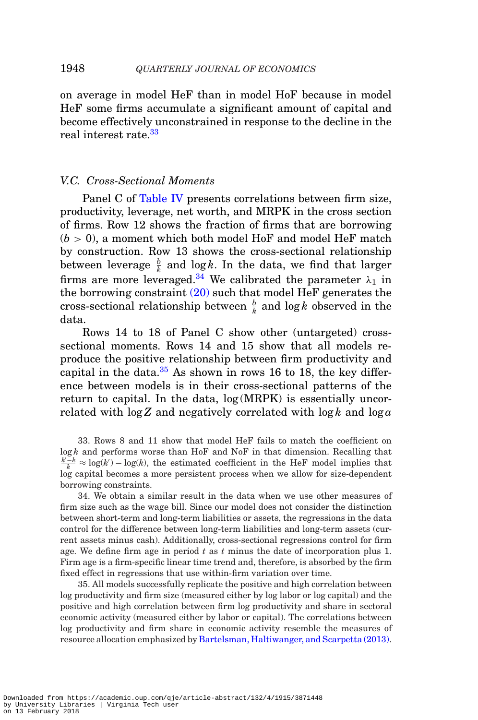on average in model HeF than in model HoF because in model HeF some firms accumulate a significant amount of capital and become effectively unconstrained in response to the decline in the real interest rate.<sup>[33](#page-33-0)</sup>

#### *V.C. Cross-Sectional Moments*

Panel C of [Table IV](#page-30-0) presents correlations between firm size, productivity, leverage, net worth, and MRPK in the cross section of firms. Row 12 shows the fraction of firms that are borrowing  $(b > 0)$ , a moment which both model HoF and model HeF match by construction. Row 13 shows the cross-sectional relationship between leverage  $\frac{b}{k}$  and log *k*. In the data, we find that larger firms are more leveraged.<sup>34</sup> We calibrated the parameter  $\lambda_1$  in the borrowing constraint  $(20)$  such that model HeF generates the cross-sectional relationship between  $\frac{b}{k}$  and log *k* observed in the data.

Rows 14 to 18 of Panel C show other (untargeted) crosssectional moments. Rows 14 and 15 show that all models reproduce the positive relationship between firm productivity and capital in the data. $35$  As shown in rows 16 to 18, the key difference between models is in their cross-sectional patterns of the return to capital. In the data, log (MRPK) is essentially uncorrelated with  $\log Z$  and negatively correlated with  $\log k$  and  $\log a$ 

<span id="page-33-0"></span>33. Rows 8 and 11 show that model HeF fails to match the coefficient on log *k* and performs worse than HoF and NoF in that dimension. Recalling that  $\frac{k - k}{k} \approx \log(k) - \log(k)$ , the estimated coefficient in the HeF model implies that log capital becomes a more persistent process when we allow for size-dependent borrowing constraints.

<span id="page-33-1"></span>34. We obtain a similar result in the data when we use other measures of firm size such as the wage bill. Since our model does not consider the distinction between short-term and long-term liabilities or assets, the regressions in the data control for the difference between long-term liabilities and long-term assets (current assets minus cash). Additionally, cross-sectional regressions control for firm age. We define firm age in period *t* as *t* minus the date of incorporation plus 1. Firm age is a firm-specific linear time trend and, therefore, is absorbed by the firm fixed effect in regressions that use within-firm variation over time.

<span id="page-33-2"></span>35. All models successfully replicate the positive and high correlation between log productivity and firm size (measured either by log labor or log capital) and the positive and high correlation between firm log productivity and share in sectoral economic activity (measured either by labor or capital). The correlations between log productivity and firm share in economic activity resemble the measures of resource allocation emphasized by [Bartelsman, Haltiwanger, and Scarpetta \(2013\).](#page-50-0)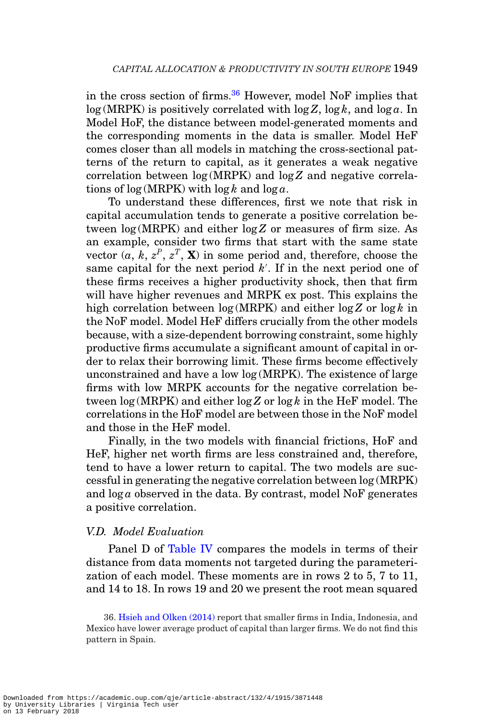in the cross section of firms. $36$  However, model NoF implies that  $log(MRPK)$  is positively correlated with  $log Z$ ,  $log k$ , and  $log a$ . In Model HoF, the distance between model-generated moments and the corresponding moments in the data is smaller. Model HeF comes closer than all models in matching the cross-sectional patterns of the return to capital, as it generates a weak negative correlation between log (MRPK) and log *Z* and negative correlations of log (MRPK) with log *k* and log *a*.

To understand these differences, first we note that risk in capital accumulation tends to generate a positive correlation between log (MRPK) and either log *Z* or measures of firm size. As an example, consider two firms that start with the same state vector  $(a, k, z^P, z^T, \mathbf{X})$  in some period and, therefore, choose the same capital for the next period *k* . If in the next period one of these firms receives a higher productivity shock, then that firm will have higher revenues and MRPK ex post. This explains the high correlation between log (MRPK) and either log *Z* or log *k* in the NoF model. Model HeF differs crucially from the other models because, with a size-dependent borrowing constraint, some highly productive firms accumulate a significant amount of capital in order to relax their borrowing limit. These firms become effectively unconstrained and have a low log (MRPK). The existence of large firms with low MRPK accounts for the negative correlation between log (MRPK) and either log *Z* or log *k* in the HeF model. The correlations in the HoF model are between those in the NoF model and those in the HeF model.

Finally, in the two models with financial frictions, HoF and HeF, higher net worth firms are less constrained and, therefore, tend to have a lower return to capital. The two models are successful in generating the negative correlation between log (MRPK) and  $\log a$  observed in the data. By contrast, model NoF generates a positive correlation.

#### *V.D. Model Evaluation*

Panel D of [Table IV](#page-30-0) compares the models in terms of their distance from data moments not targeted during the parameterization of each model. These moments are in rows 2 to 5, 7 to 11, and 14 to 18. In rows 19 and 20 we present the root mean squared

<span id="page-34-0"></span><sup>36.</sup> [Hsieh and Olken \(2014\)](#page-51-20) report that smaller firms in India, Indonesia, and Mexico have lower average product of capital than larger firms. We do not find this pattern in Spain.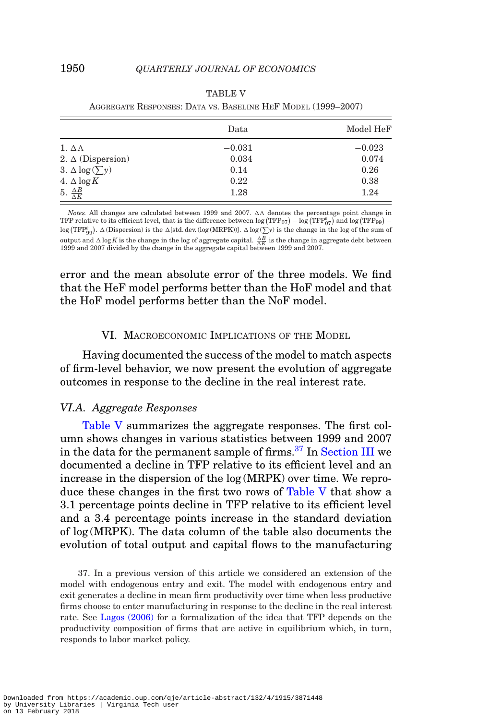<span id="page-35-0"></span>

|                                | Data     | Model HeF |
|--------------------------------|----------|-----------|
| 1. $\Delta \Lambda$            | $-0.031$ | $-0.023$  |
| 2. $\Delta$ (Dispersion)       | 0.034    | 0.074     |
| 3. $\Delta \log(\sum y)$       | 0.14     | 0.26      |
| 4. $\Delta \log K$             | 0.22     | 0.38      |
| 5. $\frac{\Delta B}{\Delta K}$ | 1.28     | 1.24      |

| <b>TABLE V</b>                                               |  |  |  |  |  |  |
|--------------------------------------------------------------|--|--|--|--|--|--|
| AGGREGATE RESPONSES: DATA VS. BASELINE HEF MODEL (1999–2007) |  |  |  |  |  |  |

*Notes.* All changes are calculated between 1999 and 2007.  $\Delta\Lambda$  denotes the percentage point change in TFP relative to its efficient level, that is the difference between  $\log(\text{TFP}_{07}) - \log(\text{TFP}_{07}^e)$  and  $\log(\text{TFP}_{99}) \log \left( TFP_{99}^e \right)$ .  $\Delta$  (Dispersion) is the  $\Delta$ [std. dev. (log (MRPK))].  $\Delta \log \left( \sum_{\alpha} y \right)$  is the change in the log of the sum of output and  $\Delta \log K$  is the change in the log of aggregate capital.  $\frac{\Delta B}{\Delta K}$  is the change in aggregate debt between 1999 and 2007 divided by the change in the aggregate capital between 1999 and 2007.

error and the mean absolute error of the three models. We find that the HeF model performs better than the HoF model and that the HoF model performs better than the NoF model.

## VI. MACROECONOMIC IMPLICATIONS OF THE MODEL

Having documented the success of the model to match aspects of firm-level behavior, we now present the evolution of aggregate outcomes in response to the decline in the real interest rate.

#### *VI.A. Aggregate Responses*

[Table V](#page-35-0) summarizes the aggregate responses. The first column shows changes in various statistics between 1999 and 2007 in the data for the permanent sample of firms.[37](#page-35-1) In [Section III](#page-10-1) we documented a decline in TFP relative to its efficient level and an increase in the dispersion of the log (MRPK) over time. We reproduce these changes in the first two rows of [Table V](#page-35-0) that show a 3.1 percentage points decline in TFP relative to its efficient level and a 3.4 percentage points increase in the standard deviation of log (MRPK). The data column of the table also documents the evolution of total output and capital flows to the manufacturing

<span id="page-35-1"></span>37. In a previous version of this article we considered an extension of the model with endogenous entry and exit. The model with endogenous entry and exit generates a decline in mean firm productivity over time when less productive firms choose to enter manufacturing in response to the decline in the real interest rate. See [Lagos \(2006\)](#page-51-21) for a formalization of the idea that TFP depends on the productivity composition of firms that are active in equilibrium which, in turn, responds to labor market policy.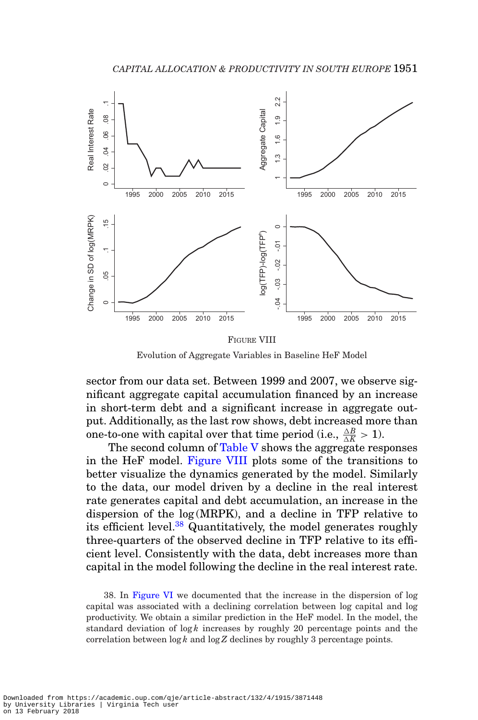<span id="page-36-0"></span>

Evolution of Aggregate Variables in Baseline HeF Model

sector from our data set. Between 1999 and 2007, we observe significant aggregate capital accumulation financed by an increase in short-term debt and a significant increase in aggregate output. Additionally, as the last row shows, debt increased more than one-to-one with capital over that time period (i.e.,  $\frac{\Delta B}{\Delta K} > 1$ ).

The second column of [Table V](#page-35-0) shows the aggregate responses in the HeF model. [Figure VIII](#page-36-0) plots some of the transitions to better visualize the dynamics generated by the model. Similarly to the data, our model driven by a decline in the real interest rate generates capital and debt accumulation, an increase in the dispersion of the log (MRPK), and a decline in TFP relative to its efficient level.<sup>38</sup> Quantitatively, the model generates roughly three-quarters of the observed decline in TFP relative to its efficient level. Consistently with the data, debt increases more than capital in the model following the decline in the real interest rate.

<span id="page-36-1"></span>38. In [Figure VI](#page-20-1) we documented that the increase in the dispersion of log capital was associated with a declining correlation between log capital and log productivity. We obtain a similar prediction in the HeF model. In the model, the standard deviation of  $\log k$  increases by roughly 20 percentage points and the correlation between log *k* and log*Z* declines by roughly 3 percentage points.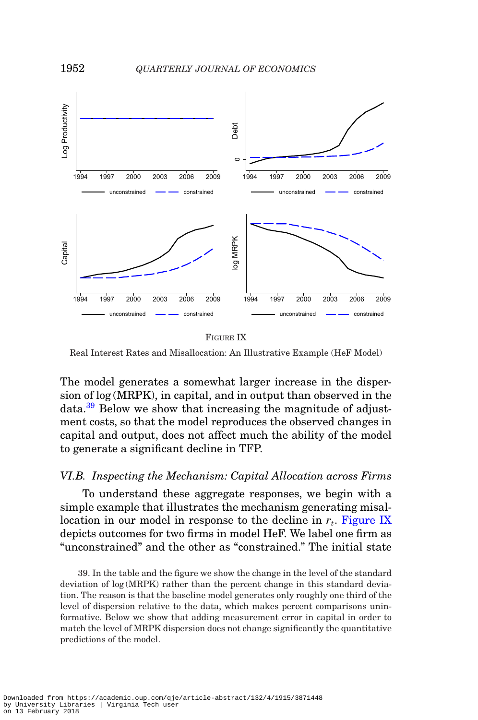<span id="page-37-1"></span>

FIGURE IX

Real Interest Rates and Misallocation: An Illustrative Example (HeF Model)

The model generates a somewhat larger increase in the dispersion of log (MRPK), in capital, and in output than observed in the data.[39](#page-37-0) Below we show that increasing the magnitude of adjustment costs, so that the model reproduces the observed changes in capital and output, does not affect much the ability of the model to generate a significant decline in TFP.

### *VI.B. Inspecting the Mechanism: Capital Allocation across Firms*

To understand these aggregate responses, we begin with a simple example that illustrates the mechanism generating misallocation in our model in response to the decline in  $r_t$ . [Figure IX](#page-37-1) depicts outcomes for two firms in model HeF. We label one firm as "unconstrained" and the other as "constrained." The initial state

<span id="page-37-0"></span>39. In the table and the figure we show the change in the level of the standard deviation of log (MRPK) rather than the percent change in this standard deviation. The reason is that the baseline model generates only roughly one third of the level of dispersion relative to the data, which makes percent comparisons uninformative. Below we show that adding measurement error in capital in order to match the level of MRPK dispersion does not change significantly the quantitative predictions of the model.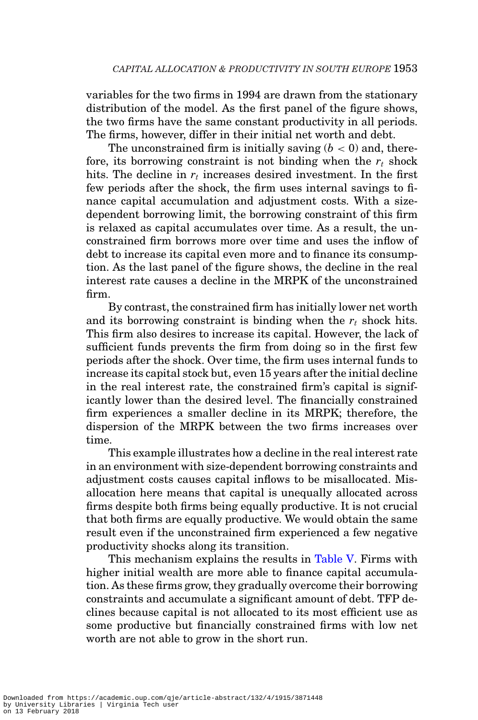variables for the two firms in 1994 are drawn from the stationary distribution of the model. As the first panel of the figure shows, the two firms have the same constant productivity in all periods. The firms, however, differ in their initial net worth and debt.

The unconstrained firm is initially saving  $(b < 0)$  and, therefore, its borrowing constraint is not binding when the  $r_t$  shock hits. The decline in  $r_t$  increases desired investment. In the first few periods after the shock, the firm uses internal savings to finance capital accumulation and adjustment costs. With a sizedependent borrowing limit, the borrowing constraint of this firm is relaxed as capital accumulates over time. As a result, the unconstrained firm borrows more over time and uses the inflow of debt to increase its capital even more and to finance its consumption. As the last panel of the figure shows, the decline in the real interest rate causes a decline in the MRPK of the unconstrained firm.

By contrast, the constrained firm has initially lower net worth and its borrowing constraint is binding when the  $r_t$  shock hits. This firm also desires to increase its capital. However, the lack of sufficient funds prevents the firm from doing so in the first few periods after the shock. Over time, the firm uses internal funds to increase its capital stock but, even 15 years after the initial decline in the real interest rate, the constrained firm's capital is significantly lower than the desired level. The financially constrained firm experiences a smaller decline in its MRPK; therefore, the dispersion of the MRPK between the two firms increases over time.

This example illustrates how a decline in the real interest rate in an environment with size-dependent borrowing constraints and adjustment costs causes capital inflows to be misallocated. Misallocation here means that capital is unequally allocated across firms despite both firms being equally productive. It is not crucial that both firms are equally productive. We would obtain the same result even if the unconstrained firm experienced a few negative productivity shocks along its transition.

This mechanism explains the results in [Table V.](#page-35-0) Firms with higher initial wealth are more able to finance capital accumulation. As these firms grow, they gradually overcome their borrowing constraints and accumulate a significant amount of debt. TFP declines because capital is not allocated to its most efficient use as some productive but financially constrained firms with low net worth are not able to grow in the short run.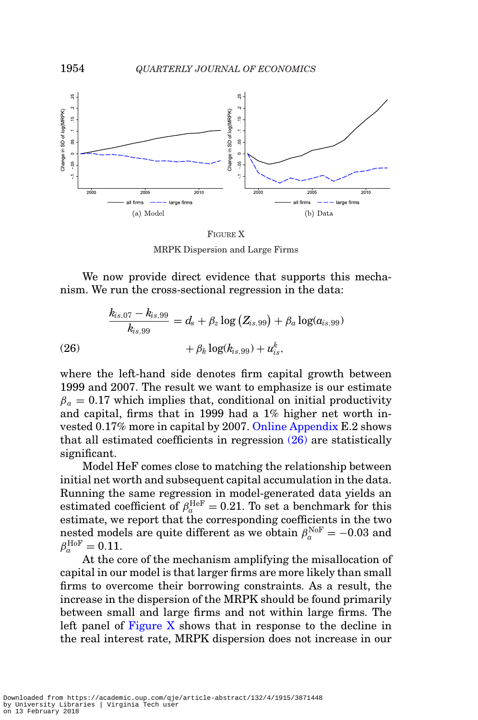<span id="page-39-1"></span>

FIGURE X MRPK Dispersion and Large Firms

We now provide direct evidence that supports this mechanism. We run the cross-sectional regression in the data:

(26)  
\n
$$
\frac{k_{is,07} - k_{is,99}}{k_{is,99}} = d_s + \beta_z \log (Z_{is,99}) + \beta_a \log(a_{is,99}) + \beta_{is,99}
$$
\n
$$
+ \beta_k \log(k_{is,99}) + u_{is}^k,
$$

<span id="page-39-0"></span>where the left-hand side denotes firm capital growth between 1999 and 2007. The result we want to emphasize is our estimate  $\beta_a = 0.17$  which implies that, conditional on initial productivity and capital, firms that in 1999 had a 1% higher net worth invested 0.17% more in capital by 2007. [Online Appendix](file:qje.oxfordjournals.org) E.2 shows that all estimated coefficients in regression [\(26\)](#page-39-0) are statistically significant.

Model HeF comes close to matching the relationship between initial net worth and subsequent capital accumulation in the data. Running the same regression in model-generated data yields an estimated coefficient of  $\beta_a^{\text{HeF}} = 0.21$ . To set a benchmark for this estimate, we report that the corresponding coefficients in the two nested models are quite different as we obtain  $\beta_a^{\text{NoF}} = -0.03$  and  $\beta^{\text{HoF}}_a = 0.11.$ 

At the core of the mechanism amplifying the misallocation of capital in our model is that larger firms are more likely than small firms to overcome their borrowing constraints. As a result, the increase in the dispersion of the MRPK should be found primarily between small and large firms and not within large firms. The left panel of [Figure X](#page-39-1) shows that in response to the decline in the real interest rate, MRPK dispersion does not increase in our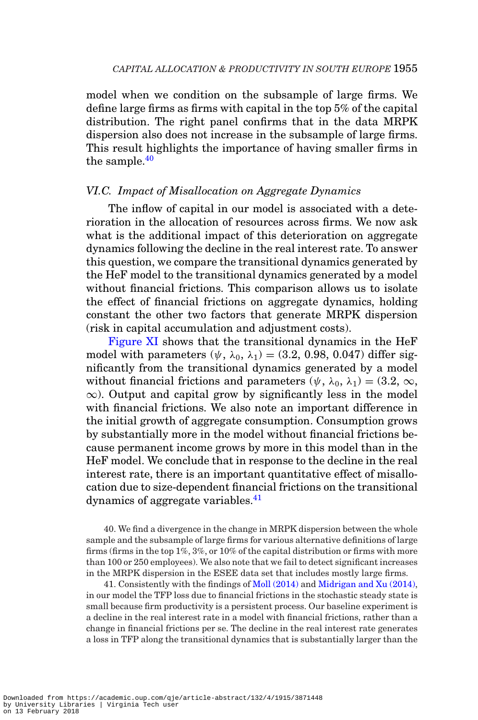model when we condition on the subsample of large firms. We define large firms as firms with capital in the top 5% of the capital distribution. The right panel confirms that in the data MRPK dispersion also does not increase in the subsample of large firms. This result highlights the importance of having smaller firms in the sample. $40$ 

## *VI.C. Impact of Misallocation on Aggregate Dynamics*

The inflow of capital in our model is associated with a deterioration in the allocation of resources across firms. We now ask what is the additional impact of this deterioration on aggregate dynamics following the decline in the real interest rate. To answer this question, we compare the transitional dynamics generated by the HeF model to the transitional dynamics generated by a model without financial frictions. This comparison allows us to isolate the effect of financial frictions on aggregate dynamics, holding constant the other two factors that generate MRPK dispersion (risk in capital accumulation and adjustment costs).

[Figure XI](#page-41-0) shows that the transitional dynamics in the HeF model with parameters  $(\psi, \lambda_0, \lambda_1) = (3.2, 0.98, 0.047)$  differ significantly from the transitional dynamics generated by a model without financial frictions and parameters  $(\psi, \lambda_0, \lambda_1) = (3.2, \infty,$  $\infty$ ). Output and capital grow by significantly less in the model with financial frictions. We also note an important difference in the initial growth of aggregate consumption. Consumption grows by substantially more in the model without financial frictions because permanent income grows by more in this model than in the HeF model. We conclude that in response to the decline in the real interest rate, there is an important quantitative effect of misallocation due to size-dependent financial frictions on the transitional dynamics of aggregate variables.[41](#page-40-1)

<span id="page-40-0"></span>40. We find a divergence in the change in MRPK dispersion between the whole sample and the subsample of large firms for various alternative definitions of large firms (firms in the top 1%, 3%, or 10% of the capital distribution or firms with more than 100 or 250 employees). We also note that we fail to detect significant increases in the MRPK dispersion in the ESEE data set that includes mostly large firms.

<span id="page-40-1"></span>41. Consistently with the findings of [Moll \(2014\)](#page-51-7) and [Midrigan and Xu \(2014\),](#page-51-6) in our model the TFP loss due to financial frictions in the stochastic steady state is small because firm productivity is a persistent process. Our baseline experiment is a decline in the real interest rate in a model with financial frictions, rather than a change in financial frictions per se. The decline in the real interest rate generates a loss in TFP along the transitional dynamics that is substantially larger than the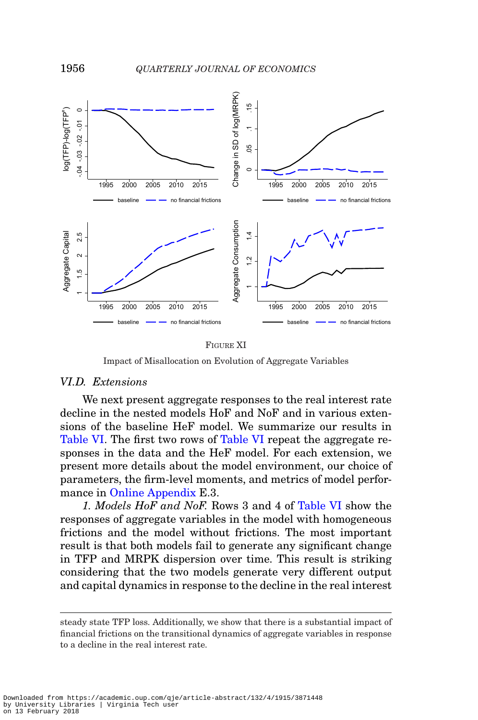<span id="page-41-0"></span>

#### FIGURE XI

Impact of Misallocation on Evolution of Aggregate Variables

#### *VI.D. Extensions*

We next present aggregate responses to the real interest rate decline in the nested models HoF and NoF and in various extensions of the baseline HeF model. We summarize our results in [Table VI.](#page-42-0) The first two rows of [Table VI](#page-42-0) repeat the aggregate responses in the data and the HeF model. For each extension, we present more details about the model environment, our choice of parameters, the firm-level moments, and metrics of model performance in [Online Appendix](file:qje.oxfordjournals.org) E.3.

*1. Models HoF and NoF.* Rows 3 and 4 of [Table VI](#page-42-0) show the responses of aggregate variables in the model with homogeneous frictions and the model without frictions. The most important result is that both models fail to generate any significant change in TFP and MRPK dispersion over time. This result is striking considering that the two models generate very different output and capital dynamics in response to the decline in the real interest

steady state TFP loss. Additionally, we show that there is a substantial impact of financial frictions on the transitional dynamics of aggregate variables in response to a decline in the real interest rate.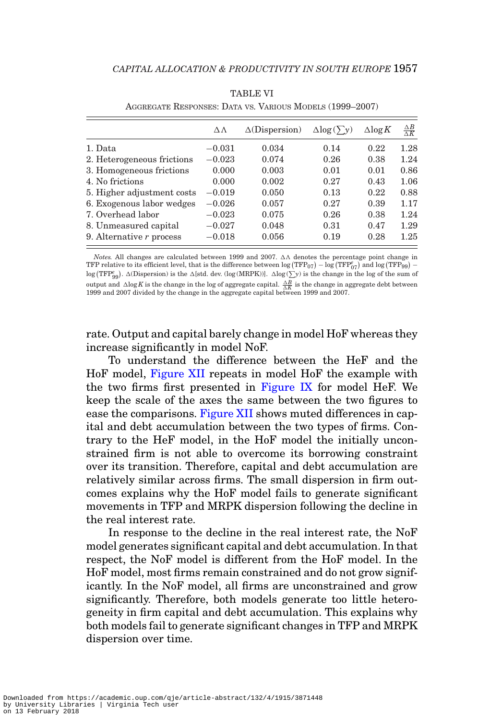<span id="page-42-0"></span>

|                            | $\triangle \wedge$ | $\Delta(Dispersion)$ | $\Delta$ log( $\lambda$ ) | $\Delta$ log K | $\frac{\Delta B}{\Delta K}$ |
|----------------------------|--------------------|----------------------|---------------------------|----------------|-----------------------------|
| 1. Data                    | $-0.031$           | 0.034                | 0.14                      | 0.22           | 1.28                        |
| 2. Heterogeneous frictions | $-0.023$           | 0.074                | 0.26                      | 0.38           | 1.24                        |
| 3. Homogeneous frictions   | 0.000              | 0.003                | 0.01                      | 0.01           | 0.86                        |
| 4. No frictions            | 0.000              | 0.002                | 0.27                      | 0.43           | 1.06                        |
| 5. Higher adjustment costs | $-0.019$           | 0.050                | 0.13                      | 0.22           | 0.88                        |
| 6. Exogenous labor wedges  | $-0.026$           | 0.057                | 0.27                      | 0.39           | 1.17                        |
| 7. Overhead labor          | $-0.023$           | 0.075                | 0.26                      | 0.38           | 1.24                        |
| 8. Unmeasured capital      | $-0.027$           | 0.048                | 0.31                      | 0.47           | 1.29                        |
| 9. Alternative $r$ process | $-0.018$           | 0.056                | 0.19                      | 0.28           | 1.25                        |

TABLE VI AGGREGATE RESPONSES: DATA VS. VARIOUS MODELS (1999–2007)

*Notes.* All changes are calculated between 1999 and 2007.  $\Delta\Lambda$  denotes the percentage point change in TFP relative to its efficient level, that is the difference between  $\log(\text{TFP}_{07}) - \log(\text{TFP}_{07}^e)$  and  $\log(\text{TFP}_{99}) \log(\text{TPP}_{99}^e)$ .  $\Delta(D \text{isperson})$  is the  $\Delta[\text{std. dev.}(\log(\text{MRPK}))]$ .  $\Delta \log(\sum y)$  is the change in the log of the sum of  $\frac{1}{\sqrt{B}}$  is the change in the log of and change in the log of aggregate capital.  $\frac{\Delta B}{\Delta K}$  is the change in aggregate debt between 1999 and 2007. divided by the change in the aggregate capital between 1999 and 2007

rate. Output and capital barely change in model HoF whereas they increase significantly in model NoF.

To understand the difference between the HeF and the HoF model, [Figure XII](#page-43-0) repeats in model HoF the example with the two firms first presented in [Figure IX](#page-37-1) for model HeF. We keep the scale of the axes the same between the two figures to ease the comparisons. [Figure XII](#page-43-0) shows muted differences in capital and debt accumulation between the two types of firms. Contrary to the HeF model, in the HoF model the initially unconstrained firm is not able to overcome its borrowing constraint over its transition. Therefore, capital and debt accumulation are relatively similar across firms. The small dispersion in firm outcomes explains why the HoF model fails to generate significant movements in TFP and MRPK dispersion following the decline in the real interest rate.

In response to the decline in the real interest rate, the NoF model generates significant capital and debt accumulation. In that respect, the NoF model is different from the HoF model. In the HoF model, most firms remain constrained and do not grow significantly. In the NoF model, all firms are unconstrained and grow significantly. Therefore, both models generate too little heterogeneity in firm capital and debt accumulation. This explains why both models fail to generate significant changes in TFP and MRPK dispersion over time.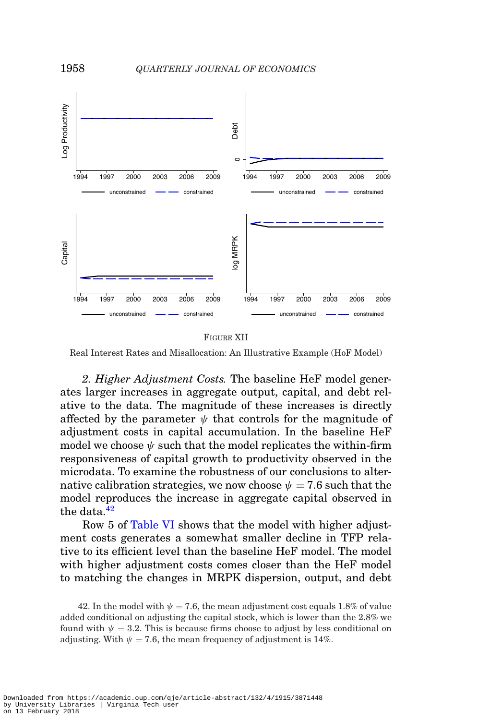<span id="page-43-0"></span>

FIGURE XII

Real Interest Rates and Misallocation: An Illustrative Example (HoF Model)

*2. Higher Adjustment Costs.* The baseline HeF model generates larger increases in aggregate output, capital, and debt relative to the data. The magnitude of these increases is directly affected by the parameter  $\psi$  that controls for the magnitude of adjustment costs in capital accumulation. In the baseline HeF model we choose  $\psi$  such that the model replicates the within-firm responsiveness of capital growth to productivity observed in the microdata. To examine the robustness of our conclusions to alternative calibration strategies, we now choose  $\psi = 7.6$  such that the model reproduces the increase in aggregate capital observed in the data. $42$ 

Row 5 of [Table VI](#page-42-0) shows that the model with higher adjustment costs generates a somewhat smaller decline in TFP relative to its efficient level than the baseline HeF model. The model with higher adjustment costs comes closer than the HeF model to matching the changes in MRPK dispersion, output, and debt

<span id="page-43-1"></span><sup>42.</sup> In the model with  $\psi = 7.6$ , the mean adjustment cost equals 1.8% of value added conditional on adjusting the capital stock, which is lower than the 2.8% we found with  $\psi = 3.2$ . This is because firms choose to adjust by less conditional on adjusting. With  $\psi = 7.6$ , the mean frequency of adjustment is 14%.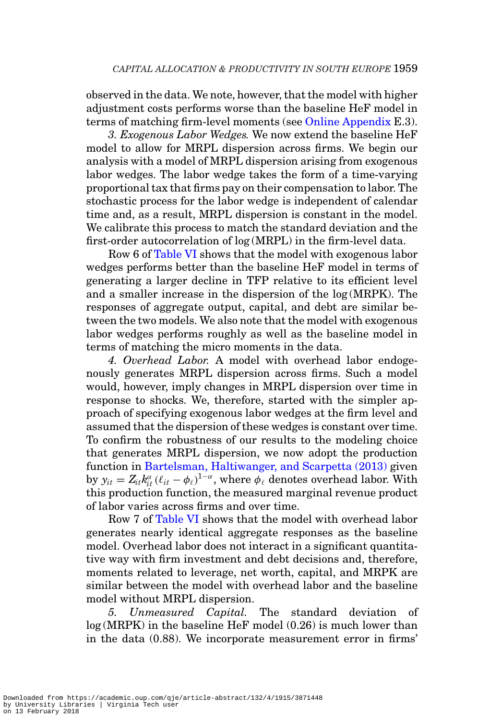observed in the data. We note, however, that the model with higher adjustment costs performs worse than the baseline HeF model in terms of matching firm-level moments (see [Online Appendix](file:qje.oxfordjournals.org) E.3).

*3. Exogenous Labor Wedges.* We now extend the baseline HeF model to allow for MRPL dispersion across firms. We begin our analysis with a model of MRPL dispersion arising from exogenous labor wedges. The labor wedge takes the form of a time-varying proportional tax that firms pay on their compensation to labor. The stochastic process for the labor wedge is independent of calendar time and, as a result, MRPL dispersion is constant in the model. We calibrate this process to match the standard deviation and the first-order autocorrelation of log (MRPL) in the firm-level data.

Row 6 of [Table VI](#page-42-0) shows that the model with exogenous labor wedges performs better than the baseline HeF model in terms of generating a larger decline in TFP relative to its efficient level and a smaller increase in the dispersion of the log (MRPK). The responses of aggregate output, capital, and debt are similar between the two models. We also note that the model with exogenous labor wedges performs roughly as well as the baseline model in terms of matching the micro moments in the data.

*4. Overhead Labor.* A model with overhead labor endogenously generates MRPL dispersion across firms. Such a model would, however, imply changes in MRPL dispersion over time in response to shocks. We, therefore, started with the simpler approach of specifying exogenous labor wedges at the firm level and assumed that the dispersion of these wedges is constant over time. To confirm the robustness of our results to the modeling choice that generates MRPL dispersion, we now adopt the production function in [Bartelsman, Haltiwanger, and Scarpetta \(2013\)](#page-50-0) given by  $y_{it} = Z_{it} k_{it}^{\alpha} (\ell_{it} - \phi_{\ell})^{1-\alpha}$ , where  $\phi_{\ell}$  denotes overhead labor. With this production function, the measured marginal revenue product of labor varies across firms and over time.

Row 7 of [Table VI](#page-42-0) shows that the model with overhead labor generates nearly identical aggregate responses as the baseline model. Overhead labor does not interact in a significant quantitative way with firm investment and debt decisions and, therefore, moments related to leverage, net worth, capital, and MRPK are similar between the model with overhead labor and the baseline model without MRPL dispersion.

*5. Unmeasured Capital.* The standard deviation of log (MRPK) in the baseline HeF model (0.26) is much lower than in the data (0.88). We incorporate measurement error in firms'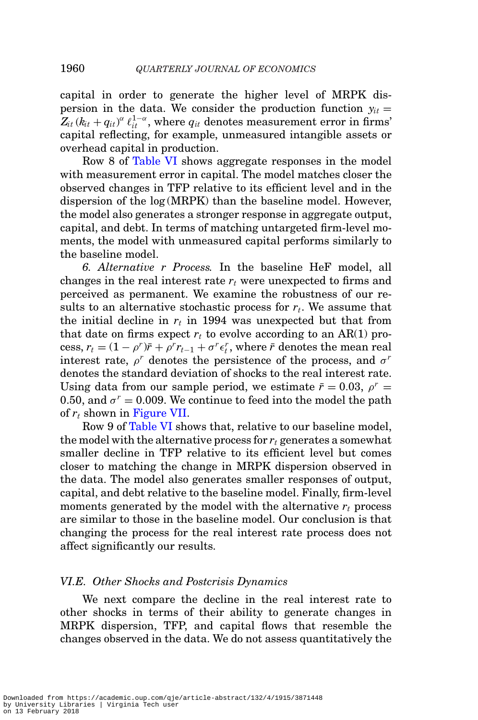capital in order to generate the higher level of MRPK dispersion in the data. We consider the production function  $y_{it}$  =  $Z_{it}\left(k_{it}+q_{it}\right)^\alpha \ell_{it}^{1-\alpha}, \text{ where } q_{it} \text{ denotes measurement error in firms'}$ capital reflecting, for example, unmeasured intangible assets or overhead capital in production.

Row 8 of [Table VI](#page-42-0) shows aggregate responses in the model with measurement error in capital. The model matches closer the observed changes in TFP relative to its efficient level and in the dispersion of the log (MRPK) than the baseline model. However, the model also generates a stronger response in aggregate output, capital, and debt. In terms of matching untargeted firm-level moments, the model with unmeasured capital performs similarly to the baseline model.

*6. Alternative r Process.* In the baseline HeF model, all changes in the real interest rate *rt* were unexpected to firms and perceived as permanent. We examine the robustness of our results to an alternative stochastic process for *rt*. We assume that the initial decline in  $r_t$  in 1994 was unexpected but that from that date on firms expect  $r_t$  to evolve according to an AR(1) pro- $\text{cess}, r_t = (1 - \rho^r)\bar{r} + \rho^r r_{t-1} + \sigma^r \epsilon_t^r$ , where  $\bar{r}$  denotes the mean real interest rate,  $\rho^r$  denotes the persistence of the process, and  $\sigma^r$ denotes the standard deviation of shocks to the real interest rate. Using data from our sample period, we estimate  $\bar{r} = 0.03$ ,  $\rho^r =$ 0.50, and  $\sigma^r = 0.009$ . We continue to feed into the model the path of *rt* shown in [Figure VII.](#page-26-0)

Row 9 of [Table VI](#page-42-0) shows that, relative to our baseline model, the model with the alternative process for  $r_t$  generates a somewhat smaller decline in TFP relative to its efficient level but comes closer to matching the change in MRPK dispersion observed in the data. The model also generates smaller responses of output, capital, and debt relative to the baseline model. Finally, firm-level moments generated by the model with the alternative  $r_t$  process are similar to those in the baseline model. Our conclusion is that changing the process for the real interest rate process does not affect significantly our results.

#### *VI.E. Other Shocks and Postcrisis Dynamics*

We next compare the decline in the real interest rate to other shocks in terms of their ability to generate changes in MRPK dispersion, TFP, and capital flows that resemble the changes observed in the data. We do not assess quantitatively the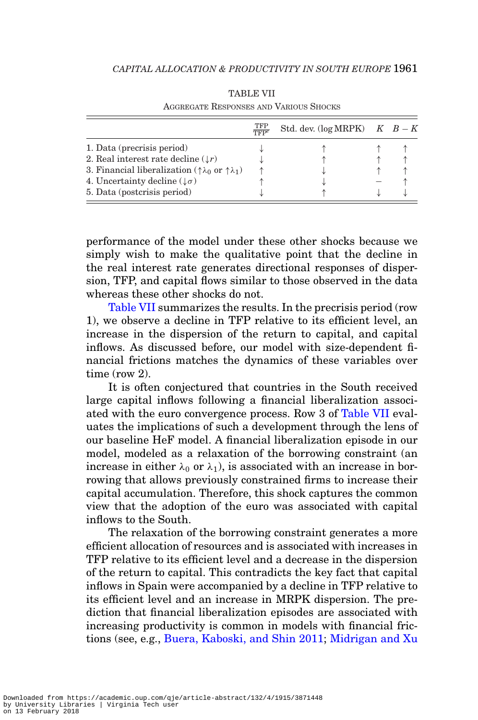<span id="page-46-0"></span>

|                                                                              | TFP | Std. dev. (log MRPK) $K$ $B-K$ |  |
|------------------------------------------------------------------------------|-----|--------------------------------|--|
| 1. Data (precrisis period)                                                   |     |                                |  |
| 2. Real interest rate decline $(\downarrow r)$                               |     |                                |  |
| 3. Financial liberalization ( $\uparrow \lambda_0$ or $\uparrow \lambda_1$ ) |     |                                |  |
| 4. Uncertainty decline $(\downarrow \sigma)$                                 |     |                                |  |
| 5. Data (postcrisis period)                                                  |     |                                |  |

TABLE VII AGGREGATE RESPONSES AND VARIOUS SHOCKS

performance of the model under these other shocks because we simply wish to make the qualitative point that the decline in the real interest rate generates directional responses of dispersion, TFP, and capital flows similar to those observed in the data whereas these other shocks do not.

[Table VII](#page-46-0) summarizes the results. In the precrisis period (row 1), we observe a decline in TFP relative to its efficient level, an increase in the dispersion of the return to capital, and capital inflows. As discussed before, our model with size-dependent financial frictions matches the dynamics of these variables over time (row 2).

It is often conjectured that countries in the South received large capital inflows following a financial liberalization associated with the euro convergence process. Row 3 of [Table VII](#page-46-0) evaluates the implications of such a development through the lens of our baseline HeF model. A financial liberalization episode in our model, modeled as a relaxation of the borrowing constraint (an increase in either  $\lambda_0$  or  $\lambda_1$ ), is associated with an increase in borrowing that allows previously constrained firms to increase their capital accumulation. Therefore, this shock captures the common view that the adoption of the euro was associated with capital inflows to the South.

The relaxation of the borrowing constraint generates a more efficient allocation of resources and is associated with increases in TFP relative to its efficient level and a decrease in the dispersion of the return to capital. This contradicts the key fact that capital inflows in Spain were accompanied by a decline in TFP relative to its efficient level and an increase in MRPK dispersion. The prediction that financial liberalization episodes are associated with increasing productivity is common in models with financial frictions (see, e.g., [Buera, Kaboski, and Shin 2011;](#page-50-5) Midrigan and Xu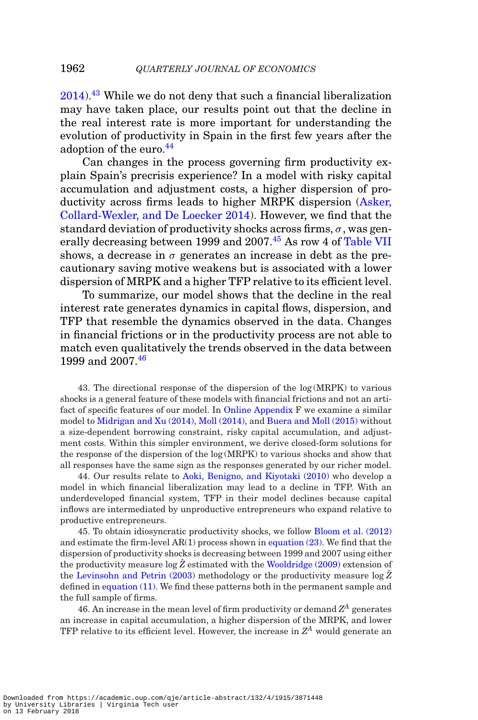$2014$ .<sup>[43](#page-47-0)</sup> While we do not deny that such a financial liberalization may have taken place, our results point out that the decline in the real interest rate is more important for understanding the evolution of productivity in Spain in the first few years after the adoption of the euro.<sup>[44](#page-47-1)</sup>

Can changes in the process governing firm productivity explain Spain's precrisis experience? In a model with risky capital accumulation and adjustment costs, a higher dispersion of productivity across firms leads to higher MRPK dispersion [\(Asker,](#page-50-1) [Collard-Wexler, and De Loecker 2014\)](#page-50-1). However, we find that the standard deviation of productivity shocks across firms,  $\sigma$ , was gen-erally decreasing between 1999 and 2007.<sup>[45](#page-47-2)</sup> As row 4 of [Table VII](#page-46-0) shows, a decrease in  $\sigma$  generates an increase in debt as the precautionary saving motive weakens but is associated with a lower dispersion of MRPK and a higher TFP relative to its efficient level.

To summarize, our model shows that the decline in the real interest rate generates dynamics in capital flows, dispersion, and TFP that resemble the dynamics observed in the data. Changes in financial frictions or in the productivity process are not able to match even qualitatively the trends observed in the data between 1999 and 2007.[46](#page-47-3)

<span id="page-47-0"></span>43. The directional response of the dispersion of the log (MRPK) to various shocks is a general feature of these models with financial frictions and not an artifact of specific features of our model. In [Online Appendix](file:qje.oxfordjournals.org) F we examine a similar model to [Midrigan and Xu \(2014\),](#page-51-6) [Moll \(2014\),](#page-51-7) and [Buera and Moll \(2015\)](#page-50-4) without a size-dependent borrowing constraint, risky capital accumulation, and adjustment costs. Within this simpler environment, we derive closed-form solutions for the response of the dispersion of the log (MRPK) to various shocks and show that all responses have the same sign as the responses generated by our richer model.

<span id="page-47-1"></span>44. Our results relate to [Aoki, Benigno, and Kiyotaki \(2010\)](#page-50-13) who develop a model in which financial liberalization may lead to a decline in TFP. With an underdeveloped financial system, TFP in their model declines because capital inflows are intermediated by unproductive entrepreneurs who expand relative to productive entrepreneurs.

<span id="page-47-2"></span>45. To obtain idiosyncratic productivity shocks, we follow [Bloom et al. \(2012\)](#page-50-2) and estimate the firm-level  $AR(1)$  process shown in [equation \(23\).](#page-27-3) We find that the dispersion of productivity shocks is decreasing between 1999 and 2007 using either the productivity measure  $\log \hat{Z}$  estimated with the [Wooldridge \(2009\)](#page-52-4) extension of the [Levinsohn and Petrin \(2003\)](#page-51-19) methodology or the productivity measure  $\log \bar{Z}$ defined in [equation \(11\).](#page-17-2) We find these patterns both in the permanent sample and the full sample of firms.

<span id="page-47-3"></span>46. An increase in the mean level of firm productivity or demand  $Z<sup>A</sup>$  generates an increase in capital accumulation, a higher dispersion of the MRPK, and lower TFP relative to its efficient level. However, the increase in *ZA* would generate an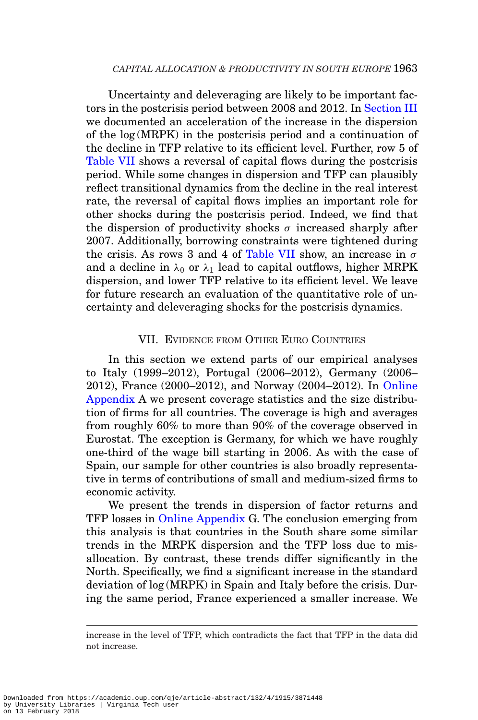Uncertainty and deleveraging are likely to be important factors in the postcrisis period between 2008 and 2012. In [Section III](#page-10-1) we documented an acceleration of the increase in the dispersion of the log (MRPK) in the postcrisis period and a continuation of the decline in TFP relative to its efficient level. Further, row 5 of [Table VII](#page-46-0) shows a reversal of capital flows during the postcrisis period. While some changes in dispersion and TFP can plausibly reflect transitional dynamics from the decline in the real interest rate, the reversal of capital flows implies an important role for other shocks during the postcrisis period. Indeed, we find that the dispersion of productivity shocks  $\sigma$  increased sharply after 2007. Additionally, borrowing constraints were tightened during the crisis. As rows 3 and 4 of [Table VII](#page-46-0) show, an increase in  $\sigma$ and a decline in  $\lambda_0$  or  $\lambda_1$  lead to capital outflows, higher MRPK dispersion, and lower TFP relative to its efficient level. We leave for future research an evaluation of the quantitative role of uncertainty and deleveraging shocks for the postcrisis dynamics.

#### VII. EVIDENCE FROM OTHER EURO COUNTRIES

In this section we extend parts of our empirical analyses to Italy (1999–2012), Portugal (2006–2012), Germany (2006– 2012), France (2000–2012), and Norway (2004–2012). In [Online](file:qje.oxfordjournals.org) [Appendix](file:qje.oxfordjournals.org) A we present coverage statistics and the size distribution of firms for all countries. The coverage is high and averages from roughly 60% to more than 90% of the coverage observed in Eurostat. The exception is Germany, for which we have roughly one-third of the wage bill starting in 2006. As with the case of Spain, our sample for other countries is also broadly representative in terms of contributions of small and medium-sized firms to economic activity.

We present the trends in dispersion of factor returns and TFP losses in [Online Appendix](file:qje.oxfordjournals.org) G. The conclusion emerging from this analysis is that countries in the South share some similar trends in the MRPK dispersion and the TFP loss due to misallocation. By contrast, these trends differ significantly in the North. Specifically, we find a significant increase in the standard deviation of log (MRPK) in Spain and Italy before the crisis. During the same period, France experienced a smaller increase. We

increase in the level of TFP, which contradicts the fact that TFP in the data did not increase.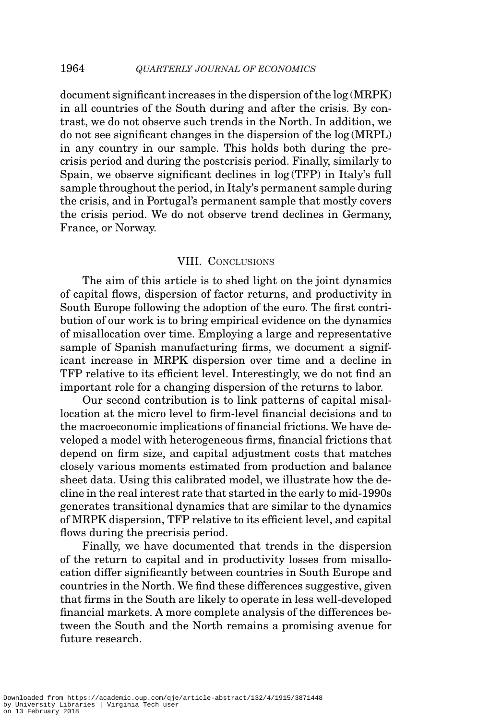document significant increases in the dispersion of the log (MRPK) in all countries of the South during and after the crisis. By contrast, we do not observe such trends in the North. In addition, we do not see significant changes in the dispersion of the log (MRPL) in any country in our sample. This holds both during the precrisis period and during the postcrisis period. Finally, similarly to Spain, we observe significant declines in log (TFP) in Italy's full sample throughout the period, in Italy's permanent sample during the crisis, and in Portugal's permanent sample that mostly covers the crisis period. We do not observe trend declines in Germany, France, or Norway.

#### VIII. CONCLUSIONS

The aim of this article is to shed light on the joint dynamics of capital flows, dispersion of factor returns, and productivity in South Europe following the adoption of the euro. The first contribution of our work is to bring empirical evidence on the dynamics of misallocation over time. Employing a large and representative sample of Spanish manufacturing firms, we document a significant increase in MRPK dispersion over time and a decline in TFP relative to its efficient level. Interestingly, we do not find an important role for a changing dispersion of the returns to labor.

Our second contribution is to link patterns of capital misallocation at the micro level to firm-level financial decisions and to the macroeconomic implications of financial frictions. We have developed a model with heterogeneous firms, financial frictions that depend on firm size, and capital adjustment costs that matches closely various moments estimated from production and balance sheet data. Using this calibrated model, we illustrate how the decline in the real interest rate that started in the early to mid-1990s generates transitional dynamics that are similar to the dynamics of MRPK dispersion, TFP relative to its efficient level, and capital flows during the precrisis period.

Finally, we have documented that trends in the dispersion of the return to capital and in productivity losses from misallocation differ significantly between countries in South Europe and countries in the North. We find these differences suggestive, given that firms in the South are likely to operate in less well-developed financial markets. A more complete analysis of the differences between the South and the North remains a promising avenue for future research.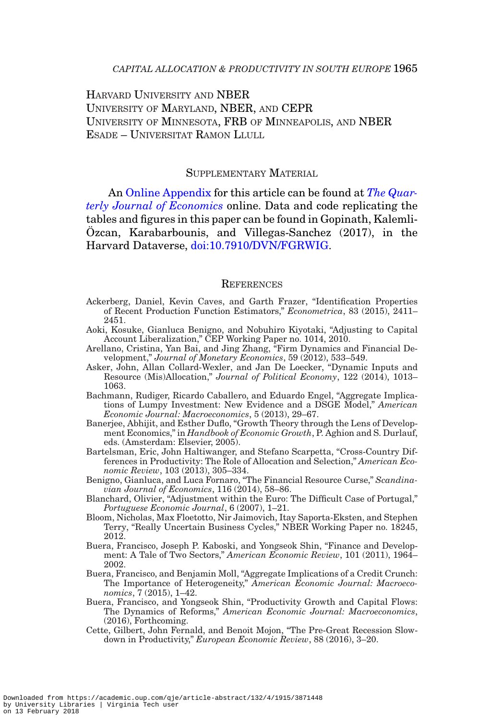HARVARD UNIVERSITY AND NBER UNIVERSITY OF MARYLAND, NBER, AND CEPR UNIVERSITY OF MINNESOTA, FRB OF MINNEAPOLIS, AND NBER ESADE – UNIVERSITAT RAMON LLULL

#### SUPPLEMENTARY MATERIAL

An [Online Appendix](file:qje.oxfordjournals.org) for this article can be found at *[The Quar](https://academic.oup.com/qje/article-lookup/doi/10.7910/DVN/FGRWIG/qje/qjx024#supplementarydata)[terly Journal of Economics](https://academic.oup.com/qje/article-lookup/doi/10.7910/DVN/FGRWIG/qje/qjx024#supplementarydata)* online. Data and code replicating the tables and figures in this paper can be found in Gopinath, Kalemli- $Ozcan$ , Karabarbounis, and Villegas-Sanchez  $(2017)$ , in the Harvard Dataverse, [doi:10.7910/DVN/FGRWIG.](http://dx.doi.org/10.7910/DVN/FGRWIG)

#### **REFERENCES**

- <span id="page-50-11"></span>Ackerberg, Daniel, Kevin Caves, and Garth Frazer, "Identification Properties of Recent Production Function Estimators," *Econometrica*, 83 (2015), 2411– 2451.
- <span id="page-50-13"></span>Aoki, Kosuke, Gianluca Benigno, and Nobuhiro Kiyotaki, "Adjusting to Capital Account Liberalization," CEP Working Paper no. 1014, 2010.
- <span id="page-50-10"></span>Arellano, Cristina, Yan Bai, and Jing Zhang, "Firm Dynamics and Financial Development," *Journal of Monetary Economics*, 59 (2012), 533–549.
- <span id="page-50-1"></span>Asker, John, Allan Collard-Wexler, and Jan De Loecker, "Dynamic Inputs and Resource (Mis)Allocation," *Journal of Political Economy*, 122 (2014), 1013– 1063.
- <span id="page-50-12"></span>Bachmann, Rudiger, Ricardo Caballero, and Eduardo Engel, "Aggregate Implications of Lumpy Investment: New Evidence and a DSGE Model," *American Economic Journal: Macroeconomics*, 5 (2013), 29–67.
- <span id="page-50-3"></span>Banerjee, Abhijit, and Esther Duflo, "Growth Theory through the Lens of Development Economics," in *Handbook of Economic Growth*, P. Aghion and S. Durlauf, eds. (Amsterdam: Elsevier, 2005).
- <span id="page-50-0"></span>Bartelsman, Eric, John Haltiwanger, and Stefano Scarpetta, "Cross-Country Differences in Productivity: The Role of Allocation and Selection," *American Economic Review*, 103 (2013), 305–334.
- <span id="page-50-7"></span>Benigno, Gianluca, and Luca Fornaro, "The Financial Resource Curse," *Scandinavian Journal of Economics*, 116 (2014), 58–86.
- <span id="page-50-6"></span>Blanchard, Olivier, "Adjustment within the Euro: The Difficult Case of Portugal," *Portuguese Economic Journal*, 6 (2007), 1–21.
- <span id="page-50-2"></span>Bloom, Nicholas, Max Floetotto, Nir Jaimovich, Itay Saporta-Eksten, and Stephen Terry, "Really Uncertain Business Cycles," NBER Working Paper no. 18245, 2012.
- <span id="page-50-5"></span>Buera, Francisco, Joseph P. Kaboski, and Yongseok Shin, "Finance and Development: A Tale of Two Sectors," *American Economic Review*, 101 (2011), 1964– 2002.
- <span id="page-50-4"></span>Buera, Francisco, and Benjamin Moll, "Aggregate Implications of a Credit Crunch: The Importance of Heterogeneity," *American Economic Journal: Macroeconomics*, 7 (2015), 1–42.
- <span id="page-50-9"></span>Buera, Francisco, and Yongseok Shin, "Productivity Growth and Capital Flows: The Dynamics of Reforms," *American Economic Journal: Macroeconomics*, (2016), Forthcoming.
- <span id="page-50-8"></span>Cette, Gilbert, John Fernald, and Benoit Mojon, "The Pre-Great Recession Slowdown in Productivity," *European Economic Review*, 88 (2016), 3–20.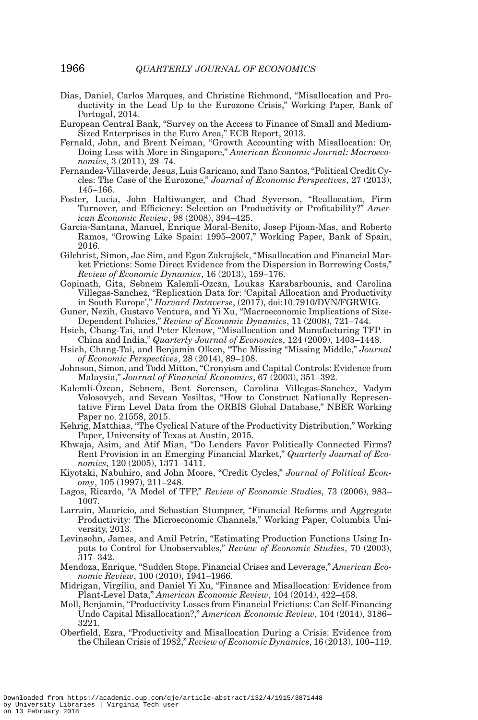- <span id="page-51-8"></span>Dias, Daniel, Carlos Marques, and Christine Richmond, "Misallocation and Productivity in the Lead Up to the Eurozone Crisis," Working Paper, Bank of Portugal, 2014.
- <span id="page-51-16"></span>European Central Bank, "Survey on the Access to Finance of Small and Medium-Sized Enterprises in the Euro Area," ECB Report, 2013.
- <span id="page-51-13"></span>Fernald, John, and Brent Neiman, "Growth Accounting with Misallocation: Or, Doing Less with More in Singapore," *American Economic Journal: Macroeconomics*, 3 (2011), 29–74.
- <span id="page-51-10"></span>Fernandez-Villaverde, Jesus, Luis Garicano, and Tano Santos, "Political Credit Cycles: The Case of the Eurozone," *Journal of Economic Perspectives*, 27 (2013), 145–166.
- <span id="page-51-12"></span>Foster, Lucia, John Haltiwanger, and Chad Syverson, "Reallocation, Firm Turnover, and Efficiency: Selection on Productivity or Profitability?" *American Economic Review*, 98 (2008), 394–425.
- <span id="page-51-9"></span>Garcia-Santana, Manuel, Enrique Moral-Benito, Josep Pijoan-Mas, and Roberto Ramos, "Growing Like Spain: 1995–2007," Working Paper, Bank of Spain, 2016.
- <span id="page-51-15"></span>Gilchrist, Simon, Jae Sim, and Egon Zakrajsek, "Misallocation and Financial Mar- ˘ ket Frictions: Some Direct Evidence from the Dispersion in Borrowing Costs," *Review of Economic Dynamics*, 16 (2013), 159–176.
- Gopinath, Gita, Sebnem Kalemli-Ozcan, Loukas Karabarbounis, and Carolina Villegas-Sanchez, "Replication Data for: 'Capital Allocation and Productivity in South Europe'," *Harvard Dataverse*, (2017), doi:10.7910/DVN/FGRWIG.
- <span id="page-51-14"></span>Guner, Nezih, Gustavo Ventura, and Yi Xu, "Macroeconomic Implications of Size-Dependent Policies," *Review of Economic Dynamics*, 11 (2008), 721–744.
- <span id="page-51-0"></span>Hsieh, Chang-Tai, and Peter Klenow, "Misallocation and Manufacturing TFP in China and India," *Quarterly Journal of Economics*, 124 (2009), 1403–1448.
- <span id="page-51-20"></span>Hsieh, Chang-Tai, and Benjamin Olken, "The Missing "Missing Middle," *Journal of Economic Perspectives*, 28 (2014), 89–108.
- <span id="page-51-18"></span>Johnson, Simon, and Todd Mitton, "Cronyism and Capital Controls: Evidence from Malaysia," *Journal of Financial Economics*, 67 (2003), 351–392.
- <span id="page-51-11"></span>Kalemli-Ozcan, Sebnem, Bent Sorensen, Carolina Villegas-Sanchez, Vadym ¨ Volosovych, and Sevcan Yesiltas, "How to Construct Nationally Representative Firm Level Data from the ORBIS Global Database," NBER Working Paper no. 21558, 2015.
- <span id="page-51-4"></span>Kehrig, Matthias, "The Cyclical Nature of the Productivity Distribution," Working Paper, University of Texas at Austin, 2015.
- <span id="page-51-17"></span>Khwaja, Asim, and Atif Mian, "Do Lenders Favor Politically Connected Firms? Rent Provision in an Emerging Financial Market," *Quarterly Journal of Economics*, 120 (2005), 1371–1411.
- <span id="page-51-1"></span>Kiyotaki, Nabuhiro, and John Moore, "Credit Cycles," *Journal of Political Economy*, 105 (1997), 211–248.
- <span id="page-51-21"></span>Lagos, Ricardo, "A Model of TFP," *Review of Economic Studies*, 73 (2006), 983– 1007.
- <span id="page-51-3"></span>Larrain, Mauricio, and Sebastian Stumpner, "Financial Reforms and Aggregate Productivity: The Microeconomic Channels," Working Paper, Columbia University, 2013.
- <span id="page-51-19"></span>Levinsohn, James, and Amil Petrin, "Estimating Production Functions Using Inputs to Control for Unobservables," *Review of Economic Studies*, 70 (2003), 317–342.
- <span id="page-51-5"></span>Mendoza, Enrique, "Sudden Stops, Financial Crises and Leverage," *American Economic Review*, 100 (2010), 1941–1966.
- <span id="page-51-6"></span>Midrigan, Virgiliu, and Daniel Yi Xu, "Finance and Misallocation: Evidence from Plant-Level Data," *American Economic Review*, 104 (2014), 422–458.
- <span id="page-51-7"></span>Moll, Benjamin, "Productivity Losses from Financial Frictions: Can Self-Financing Undo Capital Misallocation?," *American Economic Review*, 104 (2014), 3186– 3221.
- <span id="page-51-2"></span>Oberfield, Ezra, "Productivity and Misallocation During a Crisis: Evidence from the Chilean Crisis of 1982," *Review of Economic Dynamics*, 16 (2013), 100–119.